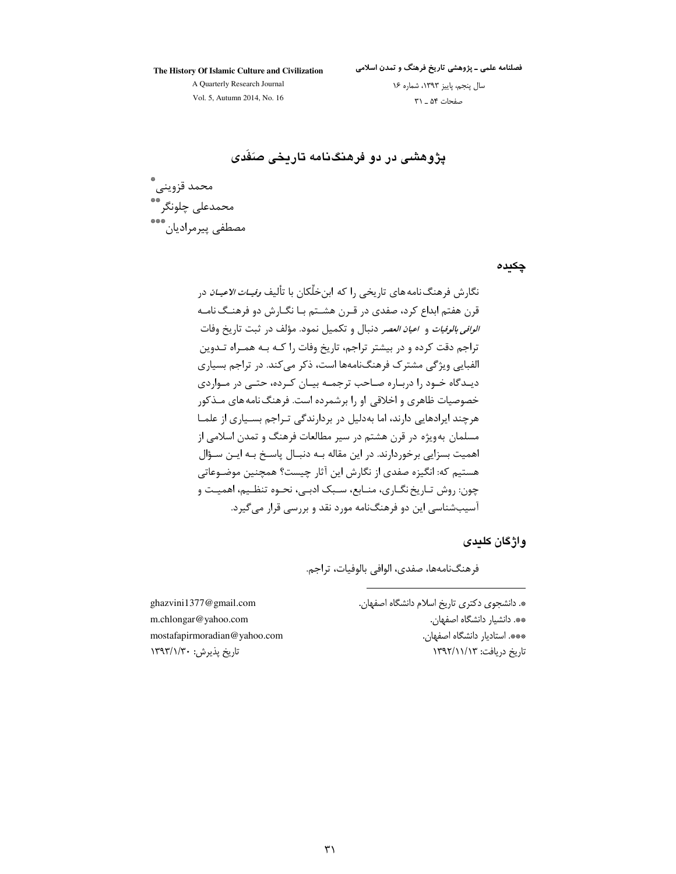The History Of Islamic Culture and Civilization

فصلنامه علمی ـ پژوهشی تاریخ فرهنگ و تمدن اسلامی

A Quarterly Research Journal Vol. 5, Autumn 2014, No. 16

سال پنجم، پاییز ١٣٩٣، شماره ١۶ صفحات ۵۴ \_ ٣١

یژوهشی در دو فرهنگنامه تاریخی صَفَدی

محمد قزويني .<br>محمدعلی چلونگر مصطفى بيرمراديان

چکیدہ

نگارش فرهنگ نامه های تاریخی ,ا که ابن خلّکان با تألیف *وفیـات الاعیـان* د<sub>ر</sub> قرن هفتم ابداع کرد، صفدی در قـرن هشــتم بـا نگــارش دو فرهنــگ نامــه *الوافي بالوفيات* و *اعيان العصر* دنبال و تكميل نمود. مؤلف د<sub>ا</sub> ثبت تاريخ وفات تراجم دقت کرده و در بیشتر تراجم، تاریخ وفات را کـه بـه همـراه تـدوین الفبایی ویژگی مشترک فرهنگنامهها است، ذکر می کند. در تراجم بسیاری دیـدگاه خـود را دربـاره صـاحب ترجمـه بیـان کـرده، حتـی در مـواردی خصوصیات ظاهری و اخلاقی او را برشمرده است. فرهنگ نامه های مـذکور هرچند ایرادهایی دارند، اما بهدلیل در بردارندگی تـراجم بسـیاری از علمـا مسلمان بهویژه در قرن هشتم در سیر مطالعات فرهنگ و تمدن اسلامی از اهمیت بسزایی برخوردارند. در این مقاله بـه دنبـال پاسـخ بـه ایـن سـؤال هستیم که: انگیزه صفدی از نگارش این آثار چیست؟ همچنین موضـوعاتی چون: روش تـاريخ نگـاري، منـابع، سـبک ادبـي، نحـوه تنظـيم، اهميـت و آسیبشناسی این دو فرهنگنامه مورد نقد و بررسی قرار می گیرد.

واژگان کلیدی

فرهنگنامهها، صفدي، الوافي بالوفيات، تراجم.

ghazvini1377@gmail.com m.chlongar@yahoo.com mostafapirmoradian@yahoo.com تاريخ پذيرش: ١٣٩٣/١/٣٠

\*. دانشجوی دکتری تاریخ اسلام دانشگاه اصفهان. \*\*. دانشيار دانشگاه اصفهان. \*\*\*. استاديار دانشگاه اصفهان.

تاریخ دریافت: ۱۳۹۲/۱۱/۱۳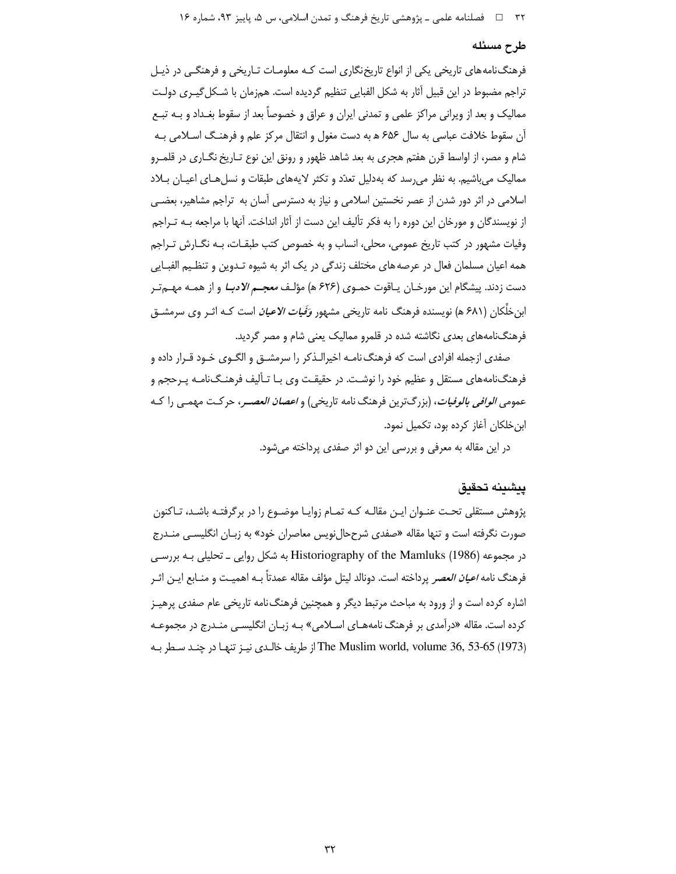#### طرح مسئله

فرهنگ نامههای تاریخی یکی از انواع تاریخ نگاری است کـه معلومـات تـاریخی و فرهنگـی در ذیـل تراجم مضبوط در این قبیل آثار به شکل الفبایی تنظیم گردیده است. همزمان با شـکل گیـری دولـت ممالیک و بعد از ویرانی مراکز علمی و تمدنی ایران و عراق و خصوصاً بعد از سقوط بغـداد و بــه تبــع آن سقوط خلافت عباسی به سال ۶۵۶ ه به دست مغول و انتقال مرکز علم و فرهنگ اسـلامی بـه شام و مصر، از اواسط قرن هفتم هجری به بعد شاهد ظهور و رونق این نوع تـاریخ نگـاری در قلمـرو ممالیک می باشیم. به نظر می رسد که به دلیل تعدّد و تکثر لایههای طبقات و نسل هـای اعیـان بـلاد اسلامی در اثر دور شدن از عصر نخستین اسلامی و نیاز به دسترسی آسان به تراجم مشاهیر، بعضبی از نویسندگان و مورخان این دوره را به فکر تألیف این دست از آثار انداخت. آنها با مراجعه بـه تـراجم وفيات مشهور در كتب تاريخ عمومي، محلي، انساب و به خصوص كتب طبقـات، بـه نگـارش تـراجم همه اعیان مسلمان فعال در عرصه های مختلف زندگی در یک اثر به شیوه تـدوین و تنظـیم الفبـایی دست زدند. پیشگام این مورخـان یـاقوت حمـوي (۶۲۶ ه) مؤلـف *معجـم الادبـا* و از همـه مهـم ّتـر اب<sub>ا</sub> خلِّکا<sub>ا</sub> ٫ (۶۸۱ هـ) نویسنده فرهنگ نامه تاریخی مشهور *وَفَیات الاعیان* است کـه اثـر وی سرمشــق فرهنگنامههای بعدی نگاشته شده در قلمرو ممالیک یعنی شام و مصر گردید.

صفدی ازجمله افرادی است که فرهنگ نامـه اخیرالـذکر را سرمشــق و الگــوی خـود قــرار داده و فرهنگنامههای مستقل و عظیم خود را نوشت. در حقیقت وی بـا تـألیف فرهنـگ<code>نامـه</code> پـرحجم و عمومي *الوافي بالوفيات*، (بزرگترين فرهنگ نامه تاريخي) و *اعصان العصـر*، حركـت مهمـي را كـه ابن خلکان آغاز کرده بود، تکمیل نمود.

در این مقاله به معرفی و بررسی این دو اثر صفدی پرداخته می شود.

#### يىشىنە تحقىق

پژوهش مستقلی تحـت عنـوان ایـن مقالـه کـه تمـام زوایـا موضـوع را در برگرفتـه باشـد، تـاکنون صورت نگرفته است و تنها مقاله «صفدی شرححالiویس معاصران خود» به زبـان انگلیسـی منــدرج در مجموعه (Historiography of the Mamluks (1986) به شکل روایی ـ تحلیلی بـه بررسـی فرهنگ نامه *اعیان العصر* پرداخته است. دونالد لیتل مؤلف مقاله عمدتاً بـه اهمیـت و منــابع ایــن اثــر اشاره کرده است و از ورود به مباحث مرتبط دیگر و همچنین فرهنگ نامه تاریخی عام صفدی پرهیـز کرده است. مقاله «درآمدی بر فرهنگ نامههـای اسـلامی» بـه زبـان انگلیسـی منـدرج در مجموعـه The Muslim world, volume 36, 53-65 (1973) از طريف خالـدي نيـز تنهـا در چنـد سـطر بـه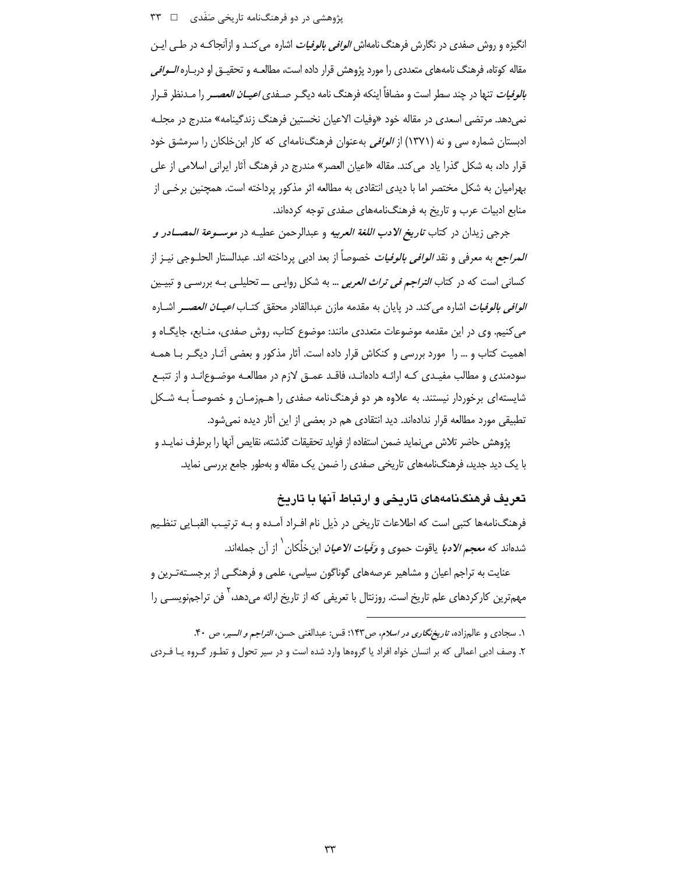پژوهشی در دو فرهنگنامه تاریخی صَفَدی  $\Box$  ۳۳

انگیزه و روش صفدی در نگارش فرهنگ نامهاش *الوافی بالوفیات* اشاره می کنـد و ازآنجاکـه در طـی ایـن مقاله کوتاه، فرهنگ نامههای متعددی را مورد پژوهش قرار داده است، مطالعـه و تحقیــق او دربــاره *الــوافی بالوفیات* تنها در چند سطر است و مضافاً اینکه فرهنگ نامه دیگـر صـفدی *اعیــان العصــر* را مـدنظر قــرار نمی دهد. مرتضی اسعدی در مقاله خود «وفیات الاعیان نخستین فرهنگ زندگینامه» مندرج در مجلـه ادبستان شماره سی و نه (۱۳۷۱) از *الوافی* بهعنوان فرهنگنامهای که کار ابن خلکان را سرمشق خود قرار داد، به شکل گذرا یاد می کند. مقاله «اعیان العصر» مندرج در فرهنگ آثار ایرانی اسلامی از علی بهرامیان به شکل مختصر اما با دیدی انتقادی به مطالعه اثر مذکور پرداخته است. همچنین برخـی از منابع ادبیات عرب و تاریخ به فرهنگنامههای صفدی توجه کردهاند.

جرجي زيدان در كتاب *تاريخ الادب اللغة العربيه* و عبدالرحمن عطيـه در *موســوعة المصــادر و المراجع* به معرفي و نقد *الوافي بالوفيات* خصوصاً از بعد ادبي پرداخته اند. عبدالستار الحلــوجي نيــز از کسانی است که در کتاب *التراجم فی تراث العربی* … به شکل روایـی ـــ تحلیلـی بـه بررسـی و تبیـین *الوافي بالوفيات* اشاره مي كند. در پايان به مقدمه مازن عبدالقادر محقق كتـاب *اعيــان العصــر* اشــاره می کنیم. وی در این مقدمه موضوعات متعددی مانند: موضوع کتاب، روش صفدی، منـابع، جایگـاه و اهمیت کتاب و … را مورد بررسی و کنکاش قرار داده است. آثار مذکور و بعضی آثـار دیگـر بـا همـه سودمندی و مطالب مفیـدی کـه ارائـه دادهانـد، فاقـد عمـق لازم در مطالعـه موضـوع|نـد و از تتبـع شایستهای برخوردار نیستند. به علاوه هر دو فرهنگ<code>نامه</code> صفدی را هــمزمـان و خصوصـاً بــه شــکل تطبیقی مورد مطالعه قرار ندادهاند. دید انتقادی هم در بعضی از این آثار دیده نمی شود.

پژوهش حاضر تلاش می،نماید ضمن استفاده از فواید تحقیقات گذشته، نقایص آنها را برطرف نمایـد و با یک دید جدید، فرهنگنامههای تاریخی صفدی را ضمن یک مقاله و بهطور جامع بررسی نماید.

## تعریف فرهنگنامههای تاریخی و ارتباط آنها با تاریخ

فرهنگنامهها کتبی است که اطلاعات تاریخی در ذیل نام افـراد آمـده و بـه ترتیـب الفبـایی تنظـیم شدهاند که *معجم الادبا* یاقوت حموی و *وَفَیات الاعیان* ابن خلِّکان <sup>۱</sup> از آن جملهاند.

عنایت به تراجم اعیان و مشاهیر عرصههای گوناگون سیاسی، علمی و فرهنگـی از برجســتهتـرین و مهمترین کارکردهای علم تاریخ است. روزنتال با تعریفی که از تاریخ ارائه میدهد،<sup>۲</sup> فن تراجمنویســی را

۱. سجادی و عالجزاده، *تاریخ نگاری در اسلام*، ص۱۴۳؛ قس: عبدالغنی حسن، *التراجم و السی*ر، ص ۴۰. ۲. وصف ادبی اعمالی که بر انسان خواه افراد یا گروهها وارد شده است و در سیر تحول و تطـور گـروه یـا فـردی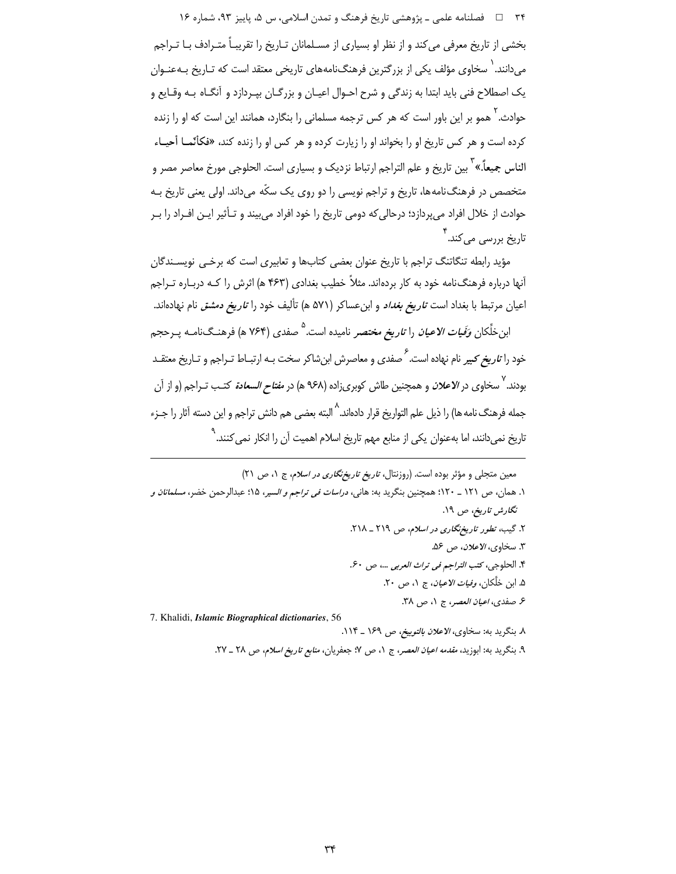۳۴ فصلنامه علمي ـ پژوهشي تاريخ فرهنگ و تمدن اسلامي، س ۵، پاييز ۹۳، شماره ۱۶ بخشی از تاریخ معرفی می کند و از نظر او بسیاری از مسـلمانان تـاریخ را تقریبـاً متـرادف بـا تـراجم می دانند. ` سخاوی مؤلف یکی از بزرگترین فرهنگنامههای تاریخی معتقد است که تـاریخ بـهعنـوان یک اصطلاح فنی باید ابتدا به زندگی و شرح احـوال اعیـان و بزرگـان بیـردازد و آنگـاه بـه وقـایع و حوادث. <sup>۲</sup> همو بر این باور است که هر کس ترجمه مسلمانی را بنگارد، همانند این است که او را زنده کرده است و هر کس تاریخ او را بخواند او را زیارت کرده و هر کس او را زنده کند، «فکأنّمـا أحیـاء الناس جميعاً.» ۖ بين تاريخ و علم التراجم ارتباط نزديک و بسياري است. الحلوجي مورخ معاصر مصر و .<br>متخصص در فرهنگ نامهها، تاریخ و تراجم نویسی را دو روی یک سکّه میداند. اولی یعنی تاریخ بـه حوادث از خلال افراد می پردازد؛ درحالی که دومی تاریخ را خود افراد می بیند و تـأثیر ایـن افـراد را بـر ۔<br>تاریخ بررسی میکند. <sup>۴</sup>

مؤید رابطه تنگاتنگ تراجم با تاریخ عنوان بعضی کتابها و تعابیری است که برخبی نویسـندگان آنها درباره فرهنگiامه خود به کار بردهاند. مثلاً خطیب بغدادی (۴۶۳ ه) اثرش را کـه دربـاره تــراجم اعیان مرتبط با بغداد است *تاریخ بغداد* و ابنعساکر (۵۷۱ ه) تألیف خود را *تاریخ دمشق* نام نهادهاند.

ابنخلَّکان *وَفَیات الاعیان* را *تاریخ مختصر* نامیده است.<sup>۵</sup> صفدی (۷۶۴ ه) فرهنـگiامـه پــرحجم خود را *تاریخ کبیر* نام نهاده است.<sup>۶</sup> صفدی و معاصرش ابنشاکر سخت بـه ارتبـاط تـراجم و تـاریخ معتقـد بودند.<sup>۷</sup> سخاوی در *الاعلان* و همچنین طاش کوبریزاده (۹۶۸ ه) در *مفتاح السعادة* کتـب تـراجم (و از آن جمله فرهنگ نامه ها) را ذیل علم التواریخ قرار دادهاند.<sup>۸</sup> البته بعضی هم دانش تراجم و این دسته آثار را جـزء تاریخ نمی،دانند، اما بهعنوان یکی از منابع مهم تاریخ اسلام اهمیت آن را انکار نمی *ک*نند.<sup>۹</sup>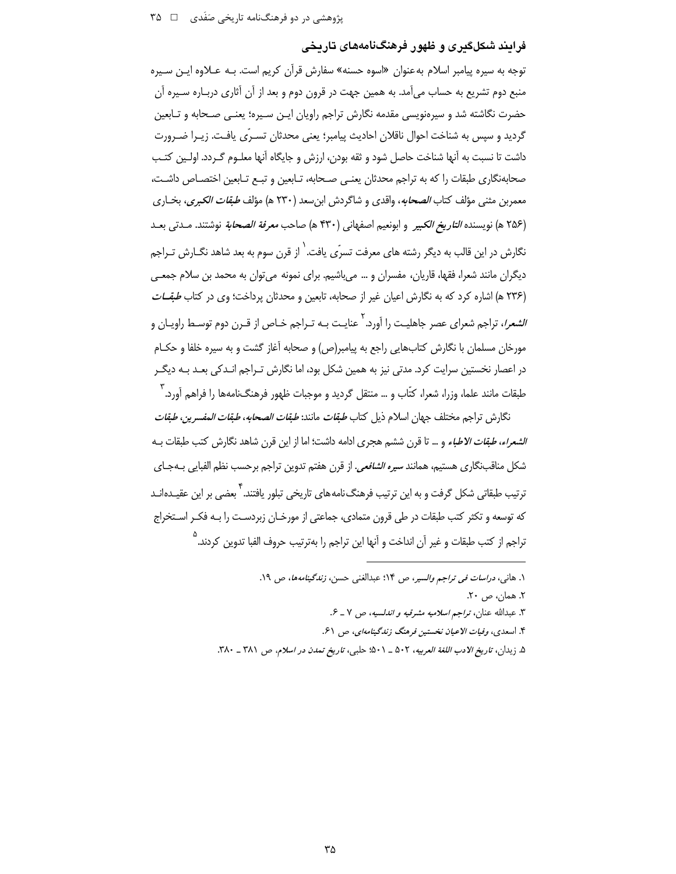### فرایند شکلگیری و ظهور فرهنگنامههای تاریخی

توجه به سیره پیامبر اسلام به عنوان «اسوه حسنه» سفارش قرآن کریم است. بـه عـلاوه ایـن سـیره منبع دوم تشریع به حساب می آمد. به همین جهت در قرون دوم و بعد از آن آثاری دربـاره سـیره آن حضرت نگاشته شد و سیرهنویسی مقدمه نگارش تراجم راویان ایـن سـیره؛ یعنـی صـحابه و تـابعین گردید و سپس به شناخت احوال ناقلان احادیث پیامبر؛ یعنی محدثان تسـرّی یافـت. زیـرا ضـرورت داشت تا نسبت به آنها شناخت حاصل شود و ثقه بودن، ارزش و جایگاه آنها معلـوم گـردد. اولـین کتـب صحابهنگاری طبقات را که به تراجم محدثان یعنبی صـحابه، تـابعین و تبـع تـابعین اختصـاص داشـت، معمربن مثني مؤلف كتاب *الصحابه*، واقدى و شاگردش ابن سعد (٢٣٠ هـ) مؤلف *طبقات الكبرى*، بخــارى (٢۵۶ هـ) نويسنده *التاريخ الكبير* و ابونعيم اصفهاني (٣٣٠ هـ) صاحب *معرفة الصحابة* نوشتند. مـدتي بعـد .<br>نگارش در این قالب به دیگر رشته های معرفت تسرّی یافت. <sup>۱</sup> از قرن سوم به بعد شاهد نگــارش تــراج<u>م</u> دیگران مانند شعرا، فقها، قاریان، مفسران و … میباشیم. برای نمونه می توان به محمد بن سلام جمعـی (۲۳۶ هـ) اشاره کرد که به نگارش اعیان غیر از صحابه، تابعین و محدثان پرداخت؛ وی در کتاب *طبقــات الشعرا*، تراجم شعرای عصر جاهلیت را آورد. <sup>۲</sup> عنایت بـه تـراجم خـاص از قـرن دوم توسـط راویـان و مورخان مسلمان با نگارش کتابهایی راجع به پیامبر(ص) و صحابه آغاز گشت و به سیره خلفا و حکـام در اعصار نخستین سرایت کرد. مدتی نیز به همین شکل بود، اما نگارش تـراجم انـدکی بعـد بـه دیگـر طبقات مانند علما، وزرا، شعرا، كتَّاب و … منتقل گرديد و موجبات ظهور فرهنگ<code>نامهها</code> را فراهم آورد. ٰ

نگارش تراجم مختلف جهان اسلام ذيل كتاب *طبقات مانند: طبقات الصحابه، طبقات المفسرين، طبقات الشعراء، طبقات الاطباء* و … تا قرن ششم هجري ادامه داشت؛ اما از اين قرن شاهد نگارش كتب طبقات بـه شكل مناقبنگاري هستيم، همانند *سيره الشافعي*. از قرن هفتم تدوين تراجم برحسب نظم الفبايي بــهجـاي ترتیب طبقاتی شکل گرفت و به این ترتیب فرهنگ نامههای تاریخی تبلور یافتند. <sup>۲</sup> بعضی بر این عقیـدهانـد که توسعه و تکثر کتب طبقات در طی قرون متمادی، جماعتی از مورخـان زبردسـت را بـه فکـر اسـتخراج ِ تراجم از كتب طبقات و غير آن انداخت و آنها اين تراجم را بهترتيب حروف الفيا تدوين كردند.<sup>0</sup>

٢. همان، ص ٢٠.

۴. اسعدی، *وفیات الاعیان نخستین فرهنگ زندگینامهای*، ص ۶۱.

۵. زيدان، ت*اريخ الادب اللغة العربيه*، ۵۰۲ \_ ۵۰۱؛ حلبي، ت*اريخ تمدن در اسلام، ص ۳۸*۱ \_ ۳۸۰.

۱. هاني، *دراسات في تراجم والسير، ص* ۱۴؛ عبدالغني حسن، *زندگينامهها*، ص ۱۹.

٣. عبدالله عنان، تراجم *اسلاميه مشرقيه و اندلسيه*، ص ٧ \_ ۶.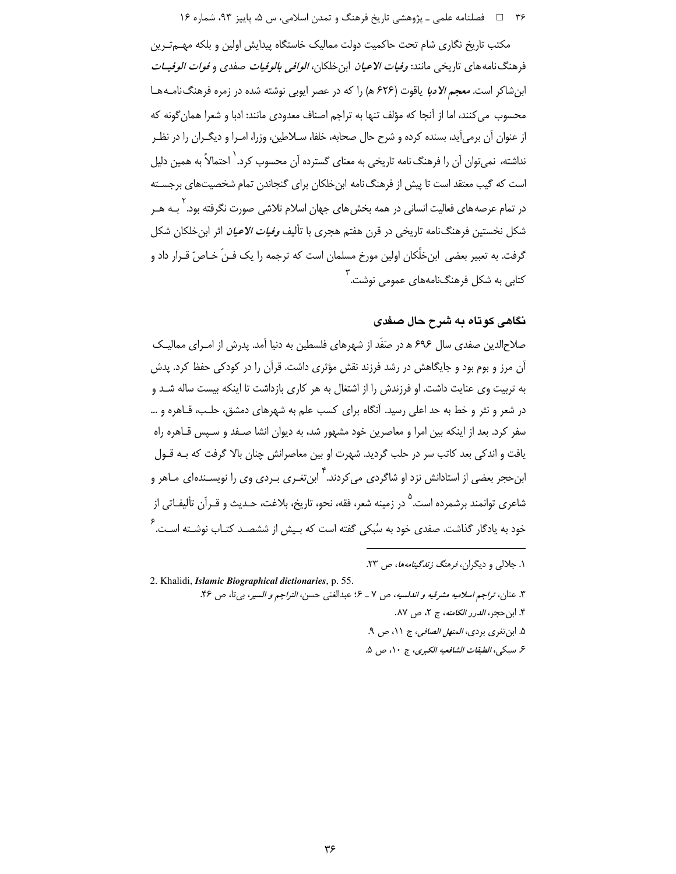#### ۳۶ فصلنامه علمي ـ پژوهشي تاريخ فرهنگ و تمدن اسلامي، س ۵، پاييز ۹۳، شماره ۱۶

مکتب تاریخ نگاری شام تحت حاکمیت دولت ممالیک خاستگاه پیدایش اولین و بلکه مهمترین فرهنگ نامه های تاریخی مانند: *وفیات الاعیان* ابن خلکان، *الوافی بالوفیات صفدی و فوات الوفیــات* ابن شاکر است. *معجم الادبا* یاقوت (۶۲۶ ه) را که در عصر ایوبی نوشته شده در زمره فرهنگ نامـههـا محسوب می کنند، اما از آنجا که مؤلف تنها به تراجم اصناف معدودی مانند: ادبا و شعرا همان گونه که از عنوان آن برمیآید، بسنده کرده و شرح حال صحابه، خلفا، سـلاطین، وزرا، امـرا و دیگـران را در نظـر نداشته، نمی توان آن را فرهنگ نامه تاریخی به معنای گسترده آن محسوب کرد.<sup>٬</sup> احتمالاً به همین دلیل است که گیب معتقد است تا پیش از فرهنگ نامه ابن خلکان برای گنجاندن تمام شخصیتهای برجسـته در تمام عرصههای فعالیت انسانی در همه بخش های جهان اسلام تلاشی صورت نگرفته بود. ٰ بـه هــر شکل نخستین فرهنگنامه تاریخی در قرن هفتم هجری با تألیف *وفیات الاعیان* اثر ابن خلکان شکل گرفت. به تعبیر بعضی ابن خلِّکان اولین مورخ مسلمان است که ترجمه را یک فـنِّ خـاصِّ قـرار داد و کتابی به شکل فرهنگنامههای عمومی نوشت.<sup>۲</sup>

## نگاهي کوتاه به شرح حال صفدي

صلاح|لدین صفدی سال ۶۹۶ ه در صَفَد از شهرهای فلسطین به دنیا آمد. پدرش از امـرای ممالیـک آن مرز و بوم بود و جایگاهش در رشد فرزند نقش مؤثری داشت. قرآن را در کودکی حفظ کرد. یدش به تربیت وی عنایت داشت. او فرزندش را از اشتغال به هر کاری بازداشت تا اینکه بیست ساله شـد و در شعر و نثر و خط به حد اعلی رسید. آنگاه برای کسب علم به شهرهای دمشق، حلـب، قــاهره و … سفر کرد. بعد از اینکه بین امرا و معاصرین خود مشهور شد، به دیوان انشا صـفد و سـپس قـاهره راه یافت و اندکی بعد کاتب سر در حلب گردید. شهرت او بین معاصرانش چنان بالا گرفت که بـه قــول ابن حجر بعضی از استادانش نزد او شاگردی می کردند. ۲ ابن تغـری بـردی وی را نویســندهای مــاهر و شاعري توانمند برشمرده است.<sup>0</sup> در زمينه شعر، فقه، نحو، تاريخ، بلاغت، حـديث و قـرآن تأليفـاتي از .<br>خود به یادگار گذاشت. صفدی خود به سُبکی گفته است که بـیش از ششصـد کتـاب نوشـته اسـت. <sup>۶</sup>

۱. جلالی و دیگران، *فرهنگ زندگینامهها*، ص ۲۳.

2. Khalidi. Islamic Biographical dictionaries, p. 55.

٣. عنان، تراجم اسلاميه مشرقيه و اندلسيه، ص ٧ \_ ٤: عبدالغني حسن، التراجم و السير، بي تا، ص ٣۶.

- ۴. ابن حجر، *الدرر الكامنه*، ج ٢، ص ٨٧.
- ۵. ابن تغري بردي، *المنهل الصافي،* ج ١١، ص ٩.

ع سبكي، *الطبقات الشافعيه الكبرى*، ج ١٠، ص ۵.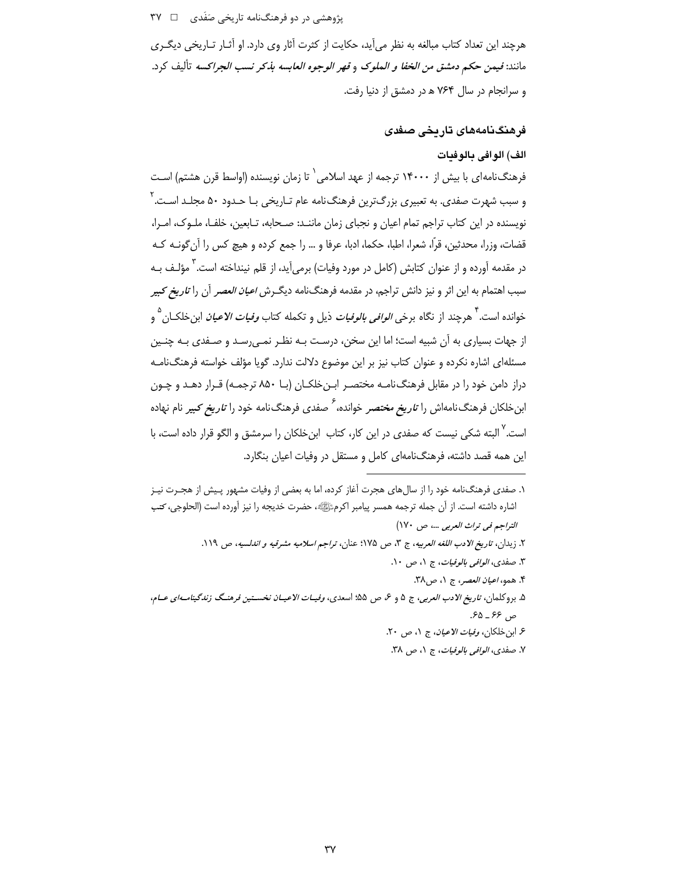پژوهشی در دو فرهنگنامه تاریخی صَفَدی ۔ □ ٣٧

هرچند این تعداد کتاب مبالغه به نظر می آید، حکایت از کثرت آثار وی دارد. او آثـار تـاریخی دیگـری مانند: فيمن حكم دمشق من *الخفا و الملوك* و *فهر الوجوه العابسه بذكر نسب الجراكسه* تأليف كرد. و سرانجام در سال ۷۶۴ ه در دمشق از دنیا رفت.

# فرهنگنامەھای تارىخى صفدى

#### الف) الوافي بالوفيات

فرهنگ نامهای با بیش از ۱۴۰۰۰ ترجمه از عهد اسلامی` تا زمان نویسنده (اواسط قرن هشتم) اسـت و سبب شهرت صفدی. به تعبیری بزرگترین فرهنگنامه عام تـاریخی بـا حـدود ۵۰ مجلـد اسـت.<sup>۲</sup> نویسنده در این کتاب تراجم تمام اعیان و نجبای زمان ماننـد: صـحابه، تـابعین، خلفـا، ملـوک، امـرا، قضات، وزرا، محدثین، قرّا، شعرا، اطبا، حکما، ادبا، عرفا و … را جمع کرده و هیچ کس را آن گونــه کــه در مقدمه آورده و از عنوان کتابش (کامل در مورد وفیات) برمیآید، از قلم نینداخته است. <sup>۲</sup> مؤلـف بـه سبب اهتمام به این اثر و نیز دانش تراجم، در مقدمه فرهنگنامه دیگـرش *اعیان العصر* آن را *تاریخ کبیر* خوانده است.<sup>۴</sup> هرچند از نگاه برخی *الوافی بالوفیات* ذیل و تکمله کتاب *وفیات الاعیان* ابنِخلکــان <sup>۵</sup> و از جهات بسیاری به آن شبیه است؛ اما این سخن، درسـت بــه نظـر نمــی٫سـد و صـفدی بــه چنــین مسئلهای اشاره نکرده و عنوان کتاب نیز بر این موضوع دلالت ندارد. گویا مؤلف خواسته فرهنگ نامـه دراز دامن خود را در مقابل فرهنگ نامـه مختصـر ابـن خلكـان (بــا ۸۵۰ ترجمـه) قـرار دهــد و چـون ابنخلکان فرهنگ نامهاش را *تاریخ مختصر* خوانده،<sup>۶</sup> صفدی فرهنگ نامه خود را *تاریخ ک*بیر نام نهاده است.<sup>۷</sup> البته شکی نیست که صفدی در این کار، کتاب ابن خلکان را سرمشق و الگو قرار داده است، با این همه قصد داشته، فرهنگنامهای کامل و مستقل در وفیات اعیان بنگارد.

۱. صفدی فرهنگنامه خود را از سال های هجرت آغاز کرده، اما به بعضی از وفیات مشهور پـیش از هجـرت نیـز اشاره داشته است. از آن جمله ترجمه همسر پیامبر اکرمﷺ، حضرت خدیجه را نیز آورده است (الحلوجی، *کتب* التراجم في تراث العربي ...، ص ١٧٠) ٢. زيدان، تاريخ الادب اللغه العربيه، ج ٣، ص ١٧۵؛ عنان، تراجم اسلاميه مشرقيه و اندلسيه، ص ١١٩. ٣. صفدي، *الوافي بالوفيات*، ج ١، ص ١٠. ۴. همو، *اعيان العصر*، ج ١، ص ٣٨. ۵. بروكلمان، ت*اريخ الادب العربي*، ج ۵ و ۶، ص ۵۵؛ اسعدي، *وفيــات الاعيــان نخســتين فرهنــگ زندگينامــهاي عــام*، ص ۶۶ \_ ۶۵. ع ابن خلكان، *وفيات الاعيان، ج ١، ص ٢٠*. ٧. صفدي، *الوافي بالوفيات*، ج ١، ص ٣٨.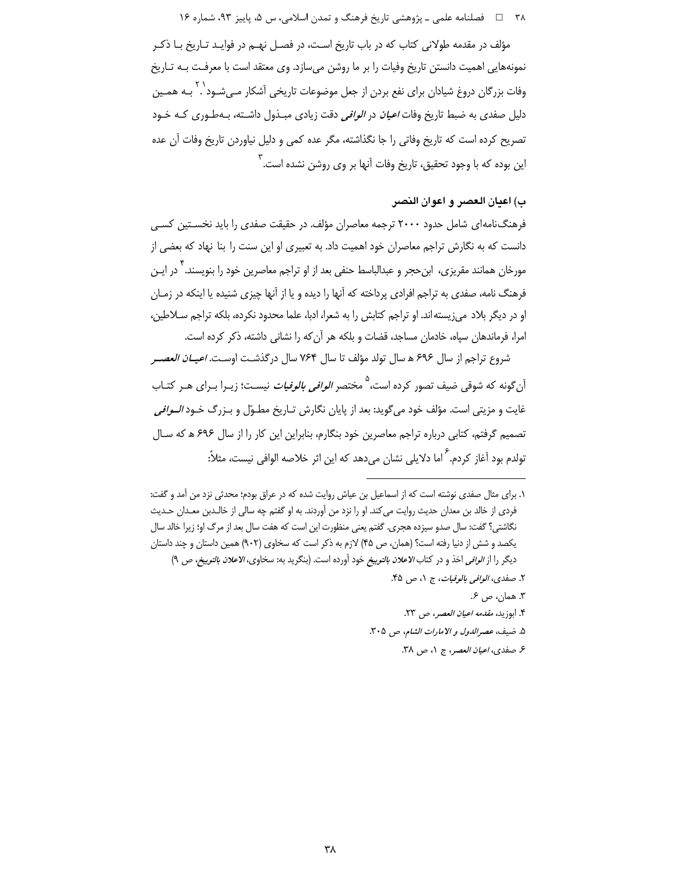۳۸ □ فصلنامه علمي ـ پژوهشي تاريخ فرهنگ و تمدن اسلامي، س ۵، پاييز ۹۳، شماره ۱۶

مؤلف در مقدمه طولانی کتاب که در باب تاریخ است، در فصـل نهـم در فوایـد تـاریخ بـا ذکـر نمونههایی اهمیت دانستن تاریخ وفیات را بر ما روشن میسازد. وی معتقد است با معرفت بـه تـاریخ وفات بزرگان دروغ شیادان برای نفع بردن از جعل موضوعات تاریخی آشکار مـی،شـود`. بـه همـین دلیل صفدی به ضبط تاریخ وفات *اعیان* در *الوافی* دقت زیادی مبـذول داشـته، بـهطـوری کـه خـود تصریح کرده است که تاریخ وفاتی را جا نگذاشته، مگر عده کمی و دلیل نیاوردن تاریخ وفات آن عده این بوده که با وجود تحقیق، تاریخ وفات آنها بر وی روشن نشده است. ۳

# ب) اعتان العصر و اعوان النصر

فرهنگ نامهای شامل حدود ۲۰۰۰ ترجمه معاصران مؤلف. در حقیقت صفدی را باید نخسـتین کسـی دانست که به نگارش تراجم معاصران خود اهمیت داد. به تعبیری او این سنت را بنا نهاد که بعضی از مورخان همانند مقریزی، ابن حجر و عبدالباسط حنفی بعد از او تراجم معاصرین خود را بنویسند.<sup>۴</sup> در ایـن فرهنگ نامه، صفدی به تراجم افرادی پرداخته که آنها را دیده و یا از آنها چیزی شنیده یا اینکه در زمـان او در دیگر بلاد میزیسته اند. او تراجم کتابش را به شعرا، ادبا، علما محدود نکرده، بلکه تراجم سـلاطین، امرا، فرماندهان سپاه، خادمان مساجد، قضات و بلکه هر آن که را نشانی داشته، ذکر کرده است.

شروع تراجم از سال ۶۹۶ ه سال تولد مؤلف تا سال ۷۶۴ سال درگذشت اوست. *اعیــان العصــر* آن گونه که شوقی ضیف تصور کرده است، <sup>۵</sup> مختصر *الوافی بالوفیات* نیسـت؛ زیــرا بــرای هــر کتــاب غايت و مزيتي است. مؤلف خود مي گويد: بعد از پايان نگارش تــاريخ مطــوّل و بــزرگ خــود *الــوافي* تصمیم گرفتم، کتابی درباره تراجم معاصرین خود بنگارم، بنابراین این کار را از سال ۶۹۶ ه که سـال تولدم بود آغاز کردم. <sup>۶</sup> اما دلایلی نشان می دهد که این اثر خلاصه الوافی نیست، مثلاً:

- ٣. همان، ص ۶.
- ۴. ابوزيد، *مقدمه اعيان العصر*، ص ٢٣.
- ۵. ضيف، عصر الدول و الامارات الشام، ص ٣٠٥.
	- ع صفدى، اعيان العصر، ج ١، ص ٣٨.

١. براي مثال صفدي نوشته است كه از اسماعيل بن عياش روايت شده كه در عراق بودم؛ محدثي نزد من آمد و گفت: فردي از خالد بن معدان حديث روايت مي كند. او را نزد من آوردند. به او گفتم چه سالي از خالـدبن معـدان حـديث نگاشتی؟ گفت: سال صدو سیزده هجری. گفتم یعنی منظورت این است که هفت سال بعد از مرگ او؛ زیرا خالد سال یکصد و شش از دنیا رفته است؟ (همان، ص ۴۵) لازم به ذکر است که سخاوی (۹۰۲) همین داستان و چند داستان ديگر را از *الوافي* اخذ و در كتاب *الاعلان بالتوييخ* خود آورده است. (بنگريد به: سخاوي، *الاعلان بالتوييخ، ص* ۹)

٢. صفدي، *الوافي بالوفيات*، ج ١، ص ۴۵.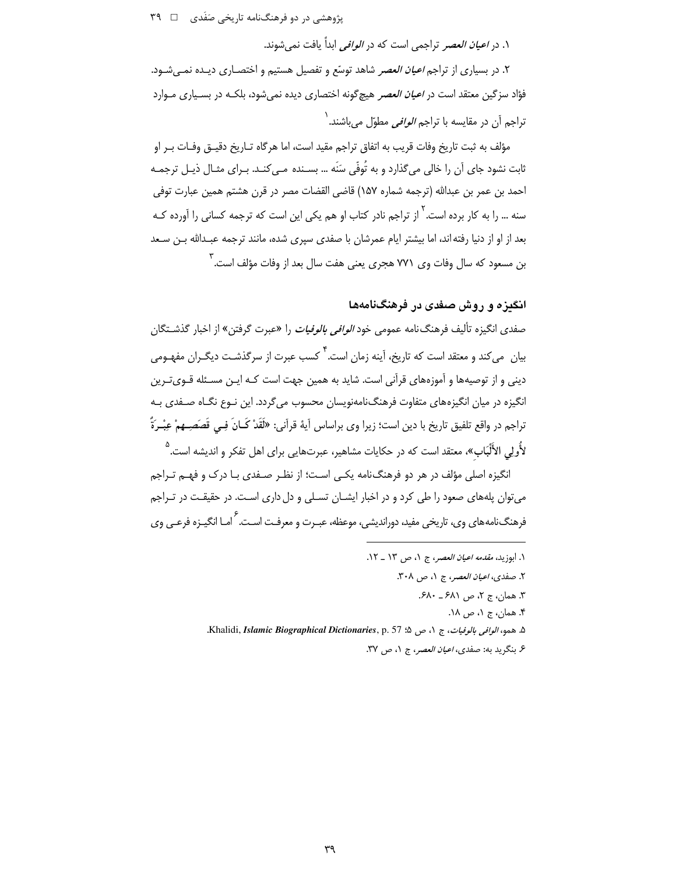یژوهشی در دو فرهنگنامه تاریخی صَفَدی ۔ 1 ۳۹

۱. در *اعبان العصر* تراجمی است که در *الوافی* ابداً بافت نمی شوند.

۲. در بسیاری از تراجم *اعیان العصر* شاهد توسّع و تفصیل هستیم و اختصـاری دیـده نمـی *شـ*ود. فؤاد سزگین معتقد است در *اعیان العصر* هیچگونه اختصاری دیده نمیشود، بلکـه در بسـیاری مـوارد ِّ تراجم اَن در مقایسه با تراجم *الوافی* مطوّل م*ی ب*اشند. <sup>(</sup>

مؤلف به ثبت تاريخ وفات قريب به اتفاق تراجم مقيد است، اما هر گاه تـاريخ دقيــق وفــات بــر او ثابت نشود جای آن را خالی می گذارد و به تُوفّی سَنَه … بسـنده مـی کنـد. بـرای مثـال ذیـل ترجمـه احمد بن عمر بن عبدالله (ترجمه شماره ١۵٧) قاضي القضات مصر در قرن هشتم همين عبارت توفي ِ سنه ... ,ا به کار برده است. <sup>۱</sup> از تراج<sub>م</sub> نادر کتاب او هم یک*ی* این است که ترجمه کسانی ,ا آورده کـه بعد از او از دنیا رفته اند، اما بیشتر ایام عمرشان با صفدی سپری شده، مانند ترجمه عبـدالله بـن سـعد ین مسعود که سال وفات وی ۷۷۱ هجری یعنی هفت سال بعد از وفات مؤلف است. آ

# انگېزه و روش صفدي در فرهنگنامهها

صفدی انگیزه تألیف فرهنگ نامه عمومی خود *الوافی بالوفیات* را «عبرت گرفتن» از اخبار گذشــتگان ِیان می کند و معتقد است که تاریخ، آینه زمان است. <sup>۴</sup> کسب عبرت از سرگذشـت دیگــران مفهـومی دینی و از توصیهها و آموزههای قرآنی است. شاید به همین جهت است کـه ایـن مسـئله قـویتـرین انگیزه در میان انگیزههای متفاوت فرهنگنامهنویسان محسوب می گردد. این نـوع نگـاه صـفدی بـه تراجم در واقع تلفيق تاريخ با دين است؛ زيرا وي براساس آيهٔ قرآني: «لَقَدْ كَـانَ فِـي قَصَصِــهِمْ عِبْـرَةً ۖ لأُولى الأَلْبَاب»، معتقد است كه در حكايات مشاهير، عبرتهايي براي اهل تفكر و انديشه است.<sup>0</sup>

انگیزه اصلی مؤلف در هر دو فرهنگ نامه یکـی اسـت؛ از نظـر صـفدی بـا درک و فهـم تـراجم می توان پلههای صعود را طی کرد و در اخبار ایشـان تسـلی و دل داری اسـت. در حقیقـت در تـراجم فرهنگنامههای وی، تاریخی مفید، دوراندیشی، موعظه، عبـرت و معرفـت اسـت. <sup>۶</sup> امـا انگیـزه فرعـی وی

- ١. ابوزيد، *مقدمه اعيان العصر*، ج ١، ص ١٣ ـ ١٢.
	- ٢. صفدى، اعيان العصر، ج ١، ص ٣٠٨.
		- ٣. همان، ج ٢، ص ٤٨١ ـ ۶٨٠.
			- ۴. همان، ج ۱، ص ۱۸.
- ۵. همو، الوافي بالوفيات، ج ١، ص ۵؛ 57 .Khalidi, *Islamic Biographical Dictionaries*, p.
	- ۶. بنگريد به: صفدي، *اعيان العصر*، ج ١، ص ٣٧.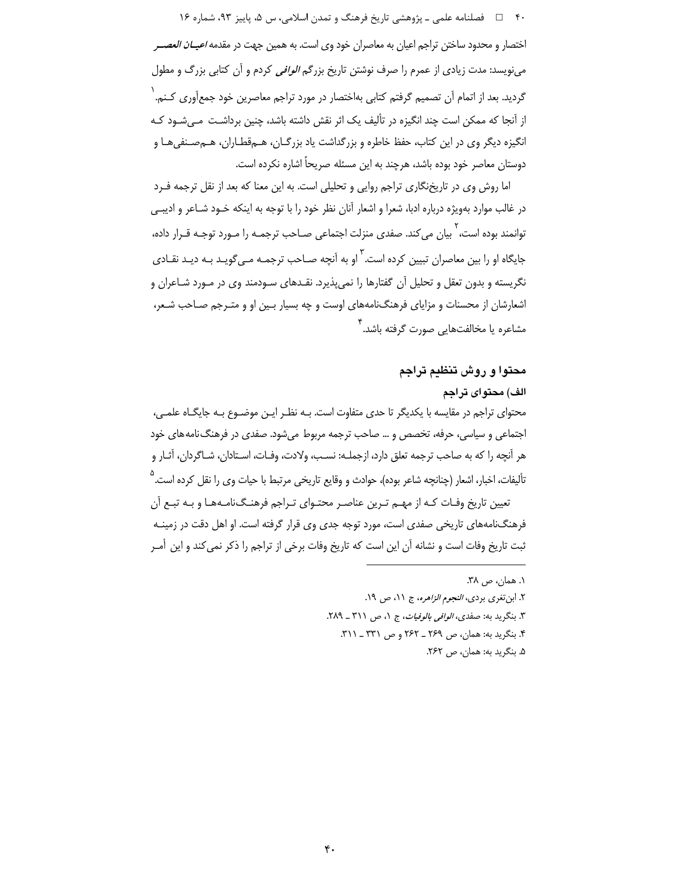۴۰٪ □ فصلنامه علمي ـ پژوهشي تاريخ فرهنگ و تمدن اسلامي، س ۵، پاييز ۹۳، شماره ۱۶ اختصار و محدود ساختن تراجم اعیان به معاصران خود وی است. به همین جهت در مقدمه *اعیــان العصــر* می;نویسد: مدت زیادی از عمرم را صرف نوشتن تاریخ بزرگم *الوافی* کردم و آن کتابی بزرگ و مطول گردید. بعد از اتمام آن تصمیم گرفتم کتابی بهاختصار در مورد تراجم معاصرین خود جمعآوری کـنم. ٰ از آنجا که ممکن است چند انگیزه در تألیف یک اثر نقش داشته باشد، چنین برداشـت مـی شـود کـه انگیزه دیگر وی در این کتاب، حفظ خاطره و بزرگداشت یاد بزرگـان، هـمقطـاران، هـمصـنفی هـا و دوستان معاصر خود بوده باشد، هرچند به این مسئله صریحاً اشاره نکرده است.

اما روش وی در تاریخنگاری تراجم روایی و تحلیلی است. به این معنا که بعد از نقل ترجمه فـرد در غالب موارد بهویژه درباره ادبا، شعرا و اشعار آنان نظر خود را با توجه به اینکه خـود شـاعر و ادیبـی توانمند بوده است، <sup>۱</sup> بیان می کند. صفدی منزلت اجتماعی صـاحب ترجمـه را مـورد توجـه قـرار داده، جایگاه او را بین معاصران تبیین کرده است.<sup>۳</sup> او به آنچه صـاحب ترجمـه مـی *گ*ویـد بـه دیـد نقـادی نگریسته و بدون تعقل و تحلیل آن گفتارها را نمی پذیرد. نقـدهای سـودمند وی در مـورد شـاعران و اشعارشان از محسنات و مزایای فرهنگنامههای اوست و چه بسیار بـین او و متـرجم صـاحب شـعر، مشاعره یا مخالفتهایی صورت گرفته باشد. ۲

محتوا و روش تنظیم تراجم

الف) محتواى تراجم

محتوای تراجم در مقایسه با یکدیگر تا حدی متفاوت است. بـه نظـر ایـن موضـوع بـه جایگـاه علمـی، اجتماعی و سیاسی، حرفه، تخصص و … صاحب ترجمه مربوط می شود. صفدی در فرهنگ نامه های خود هر آنچه را که به صاحب ترجمه تعلق دارد، ازجملـه: نسـب، ولادت، وفـات، اسـتادان، شـاگردان، آثـار و تأليفات، اخبار، اشعار (چنانچه شاعر بوده)، حوادث و وقايع تاريخي مرتبط با حيات وي را نقل كرده است.<sup>۵</sup>

تعیین تاریخ وفـات کـه از مهـم تـرین عناصـر محتـوای تـراجم فرهنـگ نامـههـا و بـه تبـع آن فرهنگ نامههای تاریخی صفدی است، مورد توجه جدی وی قرار گرفته است. او اهل دقت در زمینـه ثبت تاريخ وفات است و نشانه آن اين است كه تاريخ وفات برخي از تراجم را ذكر نمي كند و اين أمـر

> ١. همان، ص ٣٨. ٢. ابن تغرى بردى، النجوم الزاهره، ج ١١، ص ١٩. ٣. بنگريد به: صفدي، *الوافي بالوفيات*، ج ١، ص ٣١١ ـ ٢٨٩. ۴. بنگرید به: همان، ص ۲۶۹ ـ ۲۶۲ و ص ۳۳۱ ـ ۳۱۱. ۵. بنگرید به: همان، ص ۲۶۲.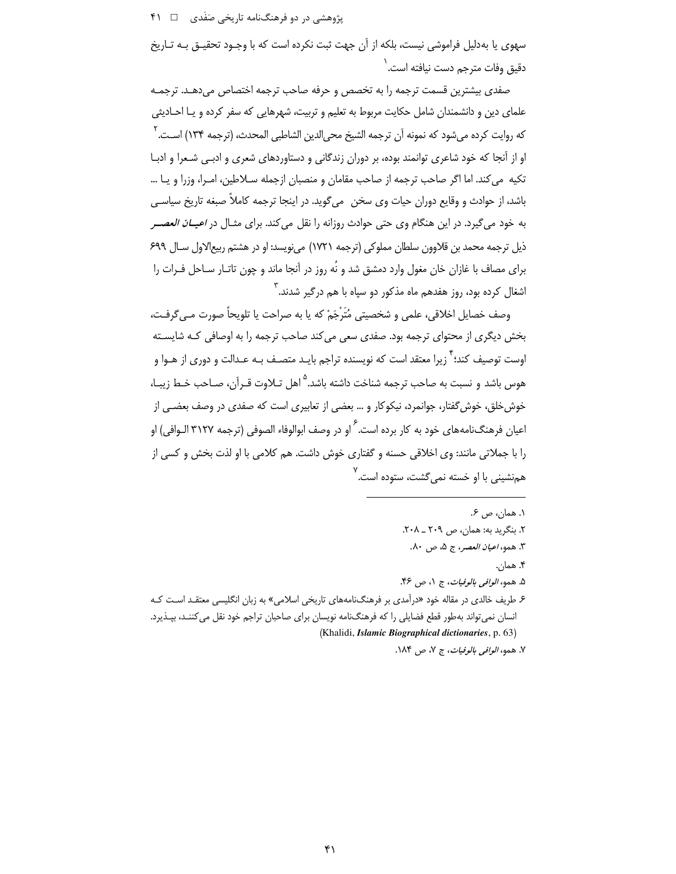# یژوهشی در دو فرهنگنامه تاریخی صَفَدی ۔ □ ۴۱

سهوی یا بهدلیل فراموشی نیست، بلکه از آن جهت ثبت نکرده است که با وجـود تحقیـق بـه تـاریخ دقبق وفات مترج<sub>م</sub> دس*ت* نبافته است. <sup>(</sup>

صفدی بیشترین قسمت ترجمه را به تخصص و حرفه صاحب ترجمه اختصاص می دهـد. ترجمـه علمای دین و دانشمندان شامل حکایت مربوط به تعلیم و تربیت، شهرهایی که سفر کرده و یـا احــادیثی كه روايت كرده مے شود كه نمونه اَن ترجمه الشيخ محے الدين الشاطبي المحدث، (ترجمه ١٣٣) اسـت. <sup>٢</sup> او از آنجا که خود شاعری توانمند بوده، بر دوران زندگانی و دستاوردهای شعری و ادبی شـعرا و ادبـا تكيه ًمي كند. اما اگر صاحب ترجمه از صاحب مقامان و منصبان ازجمله سـلاطين، امـرا، وزرا و يـا … باشد، از حوادث و وقایع دوران حیات وی سخن ً میگوید. در اینجا ترجمه کاملاً صبغه تاریخ سیاسی به خود می گیرد. در این هنگام وی حتی حوادث روزانه را نقل می کند. برای مثـال در *اعیــان العصــر* ذیل ترجمه محمد بن قلاوون سلطان مملوکی (ترجمه ١٧٢١) مینویسد: او در هشتم ربیعالاول سـال ۶۹۹ برای مصاف با غازان خان مغول وارد دمشق شد و نُه روز در آنجا ماند و چون تاتـار سـاحل فـرات را اشغال کرده بود، روز هفدهم ماه مذکور دو سیاه با هم درگیر شدند.<sup>۳</sup>

وصف خصايل اخلاقي، علمي و شخصيتي مُتَرْجَمْ كه يا به صراحت يا تلويحاً صورت مـي گرفـت، بخش دیگری از محتوای ترجمه بود. صفدی سعی می کند صاحب ترجمه را به اوصافی کـه شایسـته اوست توصیف کند؛ <sup>۲</sup> زیرا معتقد است که نویسنده تراجم بایـد متصـف بـه عـدالت و دوری از هـوا و هوس باشد و نسبت به صاحب ترجمه شناخت داشته باشد.<sup>۵</sup> اهل تـلاوت قـرآن، صـاحب خـط زيبـا، خوش خلق، خوش گفتار، جوانمرد، نیکوکار و … بعضی از تعابیری است که صفدی در وصف بعضـی از اعیان فرهنگ<code>نامه</code>های خود به کار برده است. <sup>۶</sup> او در وصف ابوالوفاء الصوفی (ترجمه ۳۱۲۷ الـوافی) او را با جملاتی مانند: وی اخلاقی حسنه و گفتاری خوش داشت. هم کلامی با او لذت بخش و کسی از همنشینی با او خسته نم*ی گ*شت، ستوده است.<sup>۷</sup>

١. همان، ص ۶. ٢. بنگريد به: همان، ص ٢٠٩ ـ ٢٠٨. ٣. همو، *اعيان العصر*، ج ۵، ص ٨٠. ۴. همان. ۵. همو، *الوافي بالوفيات*، ج ۱، ص ۴۶. ۶ طریف خالدی در مقاله خود «درآمدی بر فرهنگنامههای تاریخی اسلامی» به زبان انگلیسی معتقـد اسـت کـه

انسان نمی¤واند بهطور قطع فضایلی را که فرهنگنامه نویسان برای صاحبان تراجم خود نقل می کننـد، بپـذیرد. (Khalidi, Islamic Biographical dictionaries, p. 63)

٧. همو، *الوافي بالوفيات*، ج ٧، ص ١٨۴.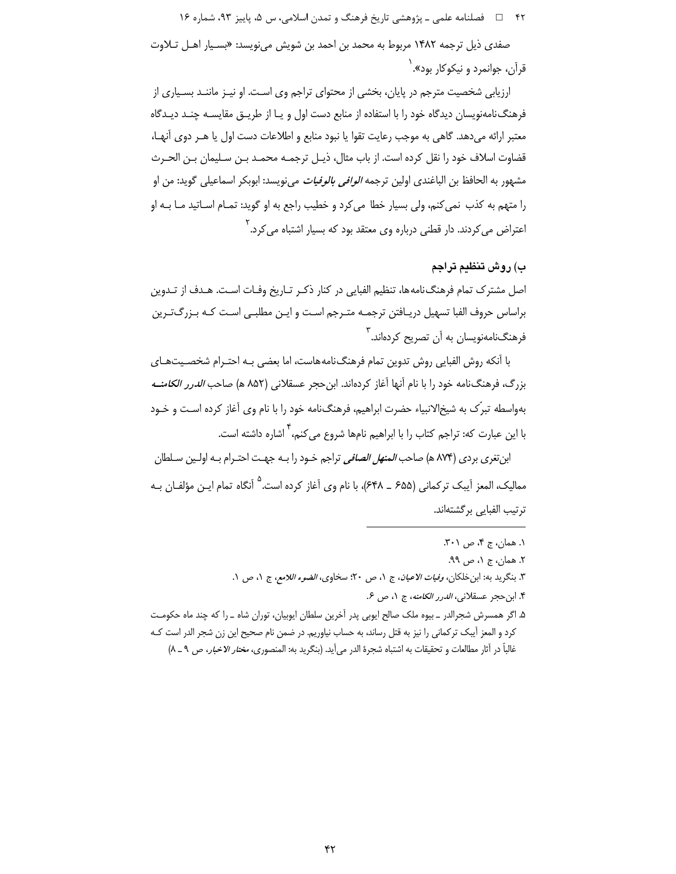۴۲ فصلنامه علمي ـ پژوهشي تاريخ فرهنگ و تمدن اسلامي، س ۵، پاييز ۹۳، شماره ۱۶

صفدی ذیل ترجمه ۱۴۸۲ مربوط به محمد بن احمد بن شویش مینویسد: «بسـیار اهـل تـلاوت قرآن، جوانمرد و نيکوکار بود». <sup>۱</sup>

ارزیابی شخصیت مترجم در پایان، بخشی از محتوای تراجم وی است. او نیـز ماننـد بسـیاری از فرهنگ نامهنویسان دیدگاه خود را با استفاده از منابع دست اول و یـا از طریــق مقایســه چنــد دیــدگاه معتبر ارائه مے دهد. گاهی به موجب رعایت تقوا یا نبود منابع و اطلاعات دست اول یا هـر دوی آنهـا، قضاوت اسلاف خود را نقل كرده است. از باب مثال، ذيـل ترجمـه محمـد بـن سـليمان بـن الحـرث مشهور به الحافظ بن الباغندي اولين ترجمه *الوافي بالوفيات* ميiويسد: ابوبكر اسماعيلي گويد: من او را متهم به كذب نمى كنم، ولى بسيار خطا مى كرد و خطيب راجع به او گويد: تمـام اسـاتيد مـا بـه او اعتراض میکردند. دار قطنی درباره وی معتقد بود که بسیار اشتباه میکرد.<sup>۲</sup>

# ب) روش تنظيم تراجم

اصل مشترک تمام فرهنگ نامهها، تنظیم الفبایی در کنار ذکـر تـاریخ وفـات اسـت. هـدف از تـدوین براساس حروف الفبا تسهيل دريـافتن ترجمـه متـرجم اسـت و ايـن مطلبـي اسـت كـه بـزرگـتـرين فرهنگنامهنویسان به آن تصریح کردهاند.<sup>۳</sup>

با أنكه روش الفبايي روش تدوين تمام فرهنگنامههاست، اما بعضي بـه احتـرام شخصـيتهـاي بزرگ، فرهنگنامه خود را با نام آنها آغاز کردهاند. ابن حجر عسقلانی (۸۵۲ ه) صاحب *الدرر الکامنــه* بهواسطه تیرِّک به شیخِالانبیاء حضرت ابراهیم، فرهنگِنامه خود را با نام وی آغاز کرده اسـت و خـود با این عبارت که: تراج<sub>ع</sub> کتاب را با ابراهیم نامها شروع مے کنم، <sup>۴</sup> اشاره داشته است.

ابن تغري بردي (۸۷۴ ه) صاحب *المنهل الصافي* تراجم خـود را بـه جهـت احتـرام بـه اولـين سـلطان ممالیک، المعز آیبک ترکمانی (۶۵۵ ـ ۶۴۸)، با نام وی آغاز کرده است.<sup>۵</sup> آنگاه تمام ایــن مؤلفــان بــه ترتيب الفبايي برگشتهاند.

- ١. همان، ج ۴، ص ٣٠١.
- ٢. همان، ج ١، ص ٩٩.
- ٣. بنگريد به: ابن خلكان، *وفيات الاعيان*، ج ١، ص ٢٠؛ سخاوى، *الضوء اللامع*، ج ١، ص ١.
	- ۴. ابن حجر عسقلاني، *الدرر الكامنه*، ج ١، ص ۶.
- ۵. اگر همسرش شجرالدر \_ بیوه ملک صالح ایوبی پدر آخرین سلطان ایوبیان، توران شاه \_ را که چند ماه حکومت کرد و المعز آیبک ترکمانی را نیز به قتل رساند، به حساب نیاوریم. در ضمن نام صحیح این زن شجر الدر است کـه غالباً در آثار مطالعات و تحقيقات به اشتباه شجرهٔ الدر مي آيد. (بنگريد به: المنصوري، *مختار الاخبار*، ص ٩ ـ ٨)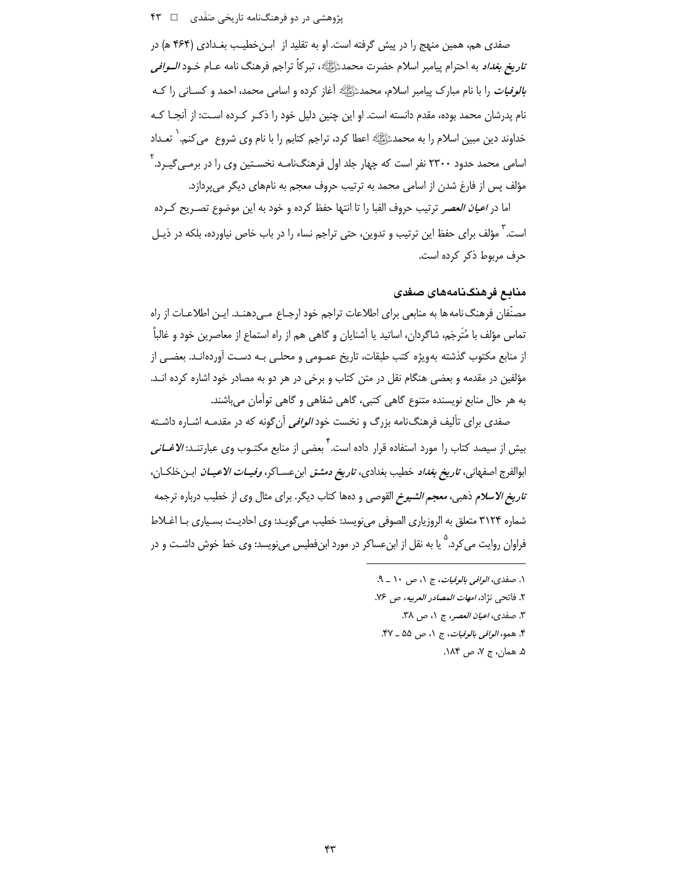## پژوهشی در دو فرهنگنامه تاریخی صَفَدی ه سه ۴۳

صفدي هم، همين منهج را در پيش گرفته است. او به تقليد از ابـنخطيـب بغـدادي (۴۶۴ ه) در ت*ناريخ بغداد* به احترام ييامبر اسلام حضرت محمدﷺ، تبركاً تراجم فرهنگ نامه عــام خــود *الــوافي* ب*الوفيات* را با نام مبارک پيامبر اسلام، محمدﷺ آغاز کرده و اسامي محمد، احمد و کســاني را کــه نام پدرشان محمد بوده، مقدم دانسته است. او این چنین دلیل خود را ذکـر کـرده اسـت: از آنجـا کـه خداوند دین مبین اسلام را به محمدﷺ اعطا کرد، تراجم کتابم را با نام وی شروع می کنم. ` تعــداد اسامی محمد حدود ۲۳۰۰ نفر است که چهار جلد اول فرهنگنامـه نخسـتین وی را در برمـی۶گیـرد. ٰ مؤلف پس از فارغ شدن از اسامی محمد به ترتیب حروف معجم به نامهای دیگر میپردازد.

اما در *اعیان العصر* ترتیب حروف الفبا را تا انتها حفظ کرده و خود به این موضوع تصـریح کـرده است.<sup>۲</sup> مؤلف برای حفظ این ترتیب و تدوین، حتی تراجم نساء را در باب خاص نیاورده، بلکه در ذیـل حرف مربوط ذكر كرده است.

# مناىع فرهنگنامەھاي صفدي

مصنِّفان فرهنگ نامه ها به منابعي براي اطلاعات تراجم خود ارجـاع مـي دهنـد. ايـن اطلاعـات از راه تماس مؤلف با مُتَرِجَم، شاگردان، اساتيد يا آشنايان و گاهي هم از راه استماع از معاصرين خود و غالباً ۖ از منابع مكتوب گذشته بهويژه كتب طبقات، تاريخ عمـومي و محلـي بـه دسـت آوردهانـد. بعضـي از مؤلفین در مقدمه و بعضی هنگام نقل در متن کتاب و برخی در هر دو به مصادر خود اشاره کرده انــد. به هر حال منابع نویسنده متنوع گاهی کتبی، گاهی شفاهی و گاهی توأمان می باشند.

صفدی برای تألیف فرهنگiامه بزرگ و نخست خود *الوافی* آن گونه که در مقدمـه اشـاره داشـته بیش از سیصد کتاب را مورد استفاده قرار داده است.<sup>۲</sup> بعضی از منابع مکتــوب وی عبارتنــد: *الاغــانی* ابوالفرج اصفهاني، *تاريخ بغداد* خطيب بغدادي، ت*اريخ دمشق* ابن عسـاكر، *وفيــات الاعيــان* ابـن خلكـان، *تاریخ الاسلام* ذهبی، *معجم الشیوخ* القوصی و دهها کتاب دیگر. برای مثال وی از خطیب درباره ترجمه شماره ٣١٢۴ متعلق به الروزياري الصوفي مي نويسد: خطيب مي گويـد: وي احاديـث بسـياري بـا اغــلاط فراوان روایت م*ی ک*رد.<sup>۵</sup> یا به نقل از ابنءساکر در مورد ابنفطیس مینویسد: وی خط خوش داشـت و در

> ١. صفدي، *الوافي بالوفيات*، ج ١، ص ١٠ \_ ٩. ٢. فاتحى نژاد، *امهات المصادر العربيه*، ص ٧۶. ٣. صفدى، *اعيان العصر*، ج ١، ص ٣٨. ۴. همو، *الوافي بالوفيات*، ج ١، ص ۵۵ \_ ۴۷. ۵. همان، ج ۷، ص ۱۸۴.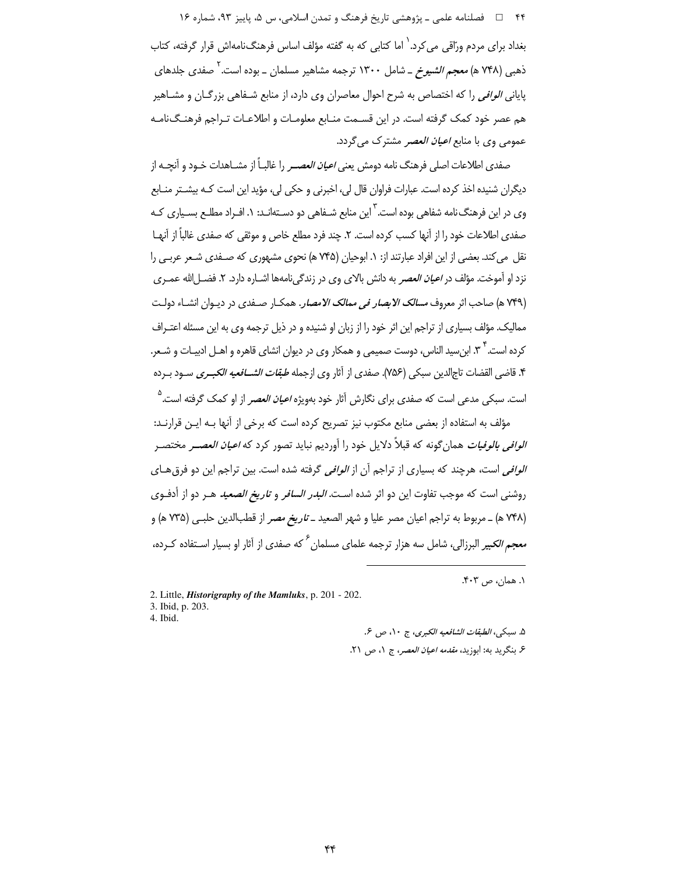۴۴ فصلنامه علمي ـ پژوهشي تاريخ فرهنگ و تمدن اسلامي، س ۵، پاييز ۹۳، شماره ۱۶ بغداد برای مردم ورّاقی می کرد. ٰ اما کتابی که به گفته مؤلف اساس فرهنگنامهاش قرار گرفته، کتاب ذهبی (۷۴۸ ه) *معجم الشیوخ* ــ شامل ۱۳۰۰ ترجمه مشاهیر مسلمان ــ بوده است.<sup>۱</sup> صفدی جلدهای یایانی *الوافی* را که اختصاص به شرح احوال معاصران وی دارد، از منابع شـفاهی بزرگـان و مشـاهیر هم عصر خود کمک گرفته است. در این قسـمت منـابع معلومـات و اطلاعـات تـراجم فرهنـگiامـه عمومی وی با منابع *اعیان العصر* مشترک می گردد.

صفدی اطلاعات اصلی فرهنگ نامه دومش ی*عنی اعیان العصـر* را غالبـاً از مشــاهدات خـود و آنچــه از دیگران شنیده اخذ کرده است. عبارات فراوان قال لی، اخبرنی و حکی لی، مؤید این است کـه بیشـتر منـابع وی در این فرهنگ نامه شفاهی بوده است. <sup>۳</sup> این منابع شـفاهی دو دسـتهانـد: ۱. افـراد مطلـع بسـیاری کـه صفدي اطلاعات خود را از آنها كسب كرده است. ٢. چند فرد مطلع خاص و موثقي كه صفدي غالباً از آنهـا نقل می کند. بعضی از این افراد عبارتند از: ۱. ابوحیان (۷۴۵ ه) نحوی مشهوری که صـفدی شـعر عربـی را نزد او آموخت. مؤلف در *اعیان العصر* به دانش بالای وی در زندگینامهها اشـاره دارد. ۲. فضـل|لله عمـری (۷۴۹ هـ) صاحب اثر معروف *مسالک الابصار في ممالک الامصار*. همکــار صــفدي در ديــوان انشــاء دولـت ممالیک. مؤلف بسیاری از تراجم این اثر خود را از زبان او شنیده و در ذیل ترجمه وی به این مسئله اعتـراف کرده است. ۳ ٪. ابن سید الناس، دوست صمیمی و همکار وی در دیوان انشای قاهره و اهــل ادبیــات و شــعر. ۴. قاضي القضات تاجالدين سبكي (٧۵۶). صفدي از آثار وي ازجمله *طبقات الشـــافعيه الكبــرى* ســود بــرده است. سبکی مدعی است که صفدی برای نگارش آثار خود بهویژه *اعیان العصر* از او کمک گرفته است.<sup>۵</sup>

مؤلف به استفاده از بعضی منابع مکتوب نیز تصریح کرده است که برخی از آنها بـه ایـن قرارنـد: *الوافي بالوفيات* همان¢ونه كه قبلاً دلايل خود را آورديم نبايد تصور كرد كه *اعيان العصــر* مختصـر *الوافي* است، هرچند كه بسياري از تراجم آن از *الوافي* گرفته شده است. بين تراجم اين دو فرق هـاي روشنی است که موجب تفاوت این دو اثر شده است*. البدر السافر و تاریخ الصعید* هـر دو از أدفـوی (۷۴۸ هـ) ــ مربوط به تراجم اعيان مصر عليا و شهر الصعيد *ــ تاريخ مصر* از قطبالدين حلبـي (۷۳۵ هـ) و معجم *الک*یبر البرزالی، شامل سه هزار ترجمه علمای مسلمان<sup>ع</sup> که صفدی از آثار او بسیار اسـتفاده کـرده،

١. همان، ص ۴۰۳.

2. Little, *Historigraphy of the Mamluks*, p. 201 - 202. 3. Ibid, p. 203.

۵. سبكي، الطبقات الشافعيه الكبرى، ج ١٠، ص ۶.

۶. بنگريد به: ابوزيد، *مقدمه اعيان العصر*، ج ١، ص ٢١.

4. Ibid.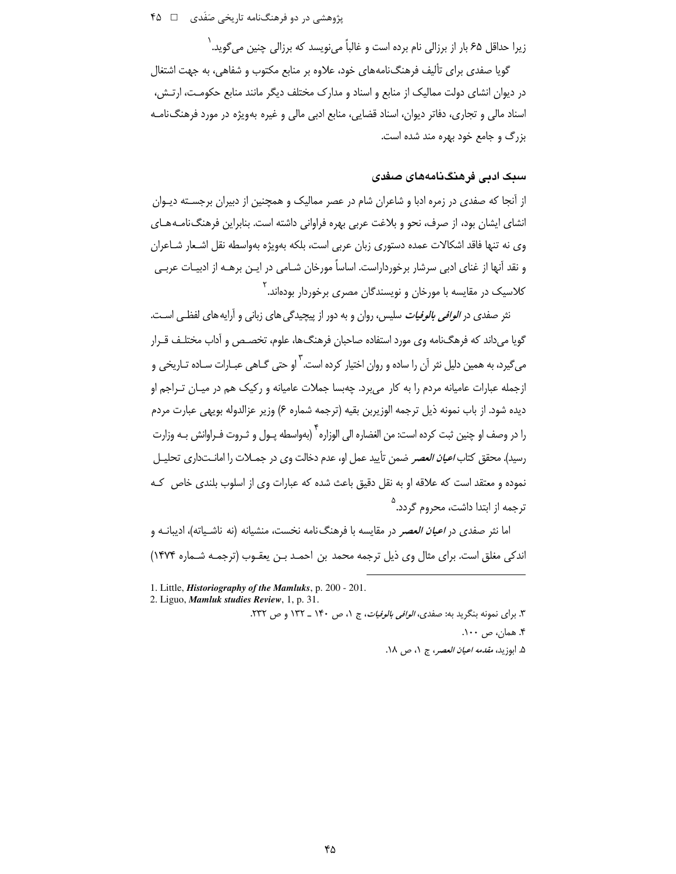یژوهشی در دو فرهنگنامه تاری*خی صَفَدی ۔* M گ

زیرا حداقل ۶۵ بار از برزالی نام برده است و غالباً می،نویسد که برزالی چنین می گوید. <sup>(</sup>

گویا صفدی برای تألیف فرهنگنامههای خود، علاوه بر منابع مکتوب و شفاهی، به جهت اشتغال در دیوان انشای دولت ممالیک از منابع و اسناد و مدارک مختلف دیگر مانند منابع حکومت، ارتـش، اسناد مالی و تجاری، دفاتر دیوان، اسناد قضایی، منابع ادبی مالی و غیره بهویژه در مورد فرهنگ نامـه بزرگ و جامع خود بهره مند شده است.

# سىك ادىي فرھنگىنامەھاي صغدى

از آنجا که صفدی در زمره ادبا و شاعران شام در عصر ممالیک و همچنین از دبیران برجسـته دیـوان انشای ایشان بود، از صرف، نحو و بلاغت عربی بهره فراوانی داشته است. بنابراین فرهنگ نامـههـای وی نه تنها فاقد اشکالات عمده دستوری زبان عربی است، بلکه بهویژه بهواسطه نقل اشـعار شـاعران و نقد آنها از غنای ادبی سرشار برخورداراست. اساساً مورخان شـامی در ایـن برهـه از ادبیـات عربـی کلاسیک در مقایسه با مورخان و نویسندگان مصری برخوردار بودهاند.<sup>۲</sup>

نثر صفدی در *الوافی بالوفیات* سلیس، روان و به دور از پیچیدگی های زبانی و آرایه های لفظـی اسـت. گویا میداند که فرهگنامه وی مورد استفاده صاحبان فرهنگها، علوم، تخصـص و آداب مختلـف قـرار می *گ*یرد، به همین دلیل نثر آن را ساده و روان اختیار کرده است. <sup>۳</sup> او حتی گــاهی عبــارات ســاده تــاریخی و ازجمله عبارات عامیانه مردم را به کار میبرد. چهبسا جملات عامیانه و رکیک هم در میـان تــراجم او ديده شود. از باب نمونه ذيل ترجمه الوزيربن بقيه (ترجمه شماره ۶) وزير عزالدوله بويهي عبارت مردم را در وصف او چنین ثبت کرده است: من الغضاره الی الوزاره <sup>۴</sup> (بهواسطه پـول و ثـروت فـراوانش بـه وزارت رسيد). محقق كتاب *اعيان العصر* ضمن تأييد عمل او، عدم دخالت وي در جمــلات را امانــتداري تحليــل نموده و معتقد است که علاقه او به نقل دقیق باعث شده که عبارات وی از اسلوب بلندی خاص کـه ه<br>ترجمه از ابتدا داش*ت،* محروم گردد.

اما نثر صفدی در *اعیان العصر* در مقایسه با فرهنگiامه نخست، منشیانه (نه ناشـیاته)، ادیبانــه و اندکی مغلق است. برای مثال وی ذیل ترجمه محمد بن احمـد بـن یعقـوب (ترجمـه شـماره ۱۴۷۴)

1. Little, *Historiography of the Mamluks*, p. 200 - 201.

2. Liguo, Mamluk studies Review, 1, p. 31.

۳. برای نمونه بنگرید به: صفدی، *الوافی بالوفیات*، ج ۱، ص ۱۴۰ ـ ۱۳۲ و ص ۲۳۲.

۴. همان، ص ۱۰۰.

۵. ابوزيد، *مقدمه اعيان العصر*، ج ٠١ ص ١٨.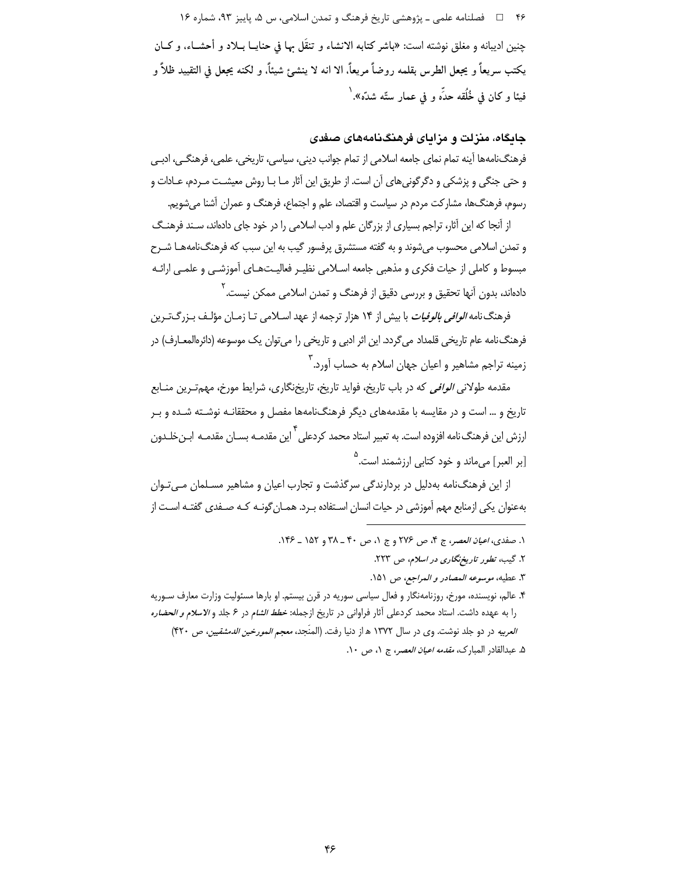۴۶ = المصلنامه علمي ـ پژوهشي تاريخ فرهنگ و تمدن اسلامي، س ۵، پاييز ۹۳، شماره ۱۶ چنین ادیبانه و مغلق نوشته است: «باشر کتابه الانشاء و تنقّل بها في حنایــا بــلاد و أحشــاء، و کــان يكتب سريعاً و يجعل الطرس بقلمه روضاً مريعاً. الا انه لا ينشئ شيئاً. و لكنه يجعل في التقييد ظلاً و فيئا و كان في خُلُقه حدِّه و في عمار ستَّه شدَّه».`

#### جایگاه، منزلت و مزایای فرهنگنامههای صفدی

فرهنگ نامهها آینه تمام نمای جامعه اسلامی از تمام جوانب دینی، سیاسی، تاریخی، علمی، فرهنگے، ادبے و حتی جنگی و پزشکی و دگرگونیهای آن است. از طریق این آثار مـا بـا روش معیشـت مـردم، عـادات و رسوم، فرهنگها، مشاركت مردم در سياست و اقتصاد، علم و اجتماع، فرهنگ و عمران آشنا مىشويم.

از آنجا که این آثار، تراجم بسیاری از بزرگان علم و ادب اسلامی را در خود جای دادهاند، سـند فرهنـگ و تمدن اسلامی محسوب می شوند و به گفته مستشرق پرفسور گیب به این سبب که فرهنگ نامههـا شـرح مبسوط و كاملي از حيات فكرى و مذهبي جامعه اسـلامي نظيـر فعاليـتهـاي آموزشـي و علمـي ارائـه دادهاند، بدون آنها تحقیق و بررسی دقیق از فرهنگ و تمدن اسلامی ممکن نیست. <sup>۲</sup>

فرهنگ نامه *الوافی بالوفیات* با بیش از ۱۴ هزار ترجمه از عهد اسـلامی تــا زمــان مؤلـف بـزرگ<code>تــ</sup>رین</code> فرهنگ نامه عام تاریخی قلمداد میگردد. این اثر ادبی و تاریخی را میتوان یک موسوعه (دائرهالمعـارف) در زمینه تراجم مشاهیر و اعیان جهان اسلام به حساب آورد. ۳

مقدمه طولانی *الوافی* که در باب تاریخ، فواید تاریخ، تاریخنگاری، شرایط مورخ، مه<u>م</u>ت پن منــابع تاریخ و … است و در مقایسه با مقدمههای دیگر فرهنگنامهها مفصل و محققانـه نوشـته شـده و بـر ارزش این فرهنگ نامه افزوده است. به تعبیر استاد محمد کردعلی<sup>۴</sup> این مقدمـه بســان مقدمـه ابــنخلــدون [بر العبر] مىماند و خود كتاب*ى* ارزشمند است.<sup>۵</sup>

از این فرهنگ نامه به دلیل در بردارندگی سرگذشت و تجارب اعیان و مشاهیر مسـلمان مـی تـوان بهعنوان یکی ازمنابع مهم آموزشی در حیات انسان اسـتفاده بـرد. همـان گونـه کـه صـفدی گفتـه اسـت از

۴. عالم، نویسنده، مورخ، روزنامهنگار و فعال سیاسی سوریه در قرن بیستم. او بارها مسئولیت وزارت معارف سـوریه را به عهده داشت. استاد محمد كردعلى آثار فراواني در تاريخ ازجمله: *خطط الشام* در ۶ جلد و *الاسلام و الحضاره العربيه* در دو جلد نوشت. وي در سال ١٣٧٢ هـ از دنيا رفت. (المنَجِد، *معجم المورخين الدمشقيين، ص* ۴۲۰)

١. صفدي، *اعيان العصر*، ج ۴، ص ٢٧۶ و ج ١، ص ۴٠ ـ ٣٨ و ١۵٢ ـ ١۴۶.

٢. گیب، تطور تاریخ نگاری در اسلام، ص ٢٢٣.

٣. عطيه، موسوعه المصادر و المراجع، ص ١٥١.

۵. عبدالقادر المبارك، *مقدمه اعيان العصر، ج ۱*. ص ۱۰.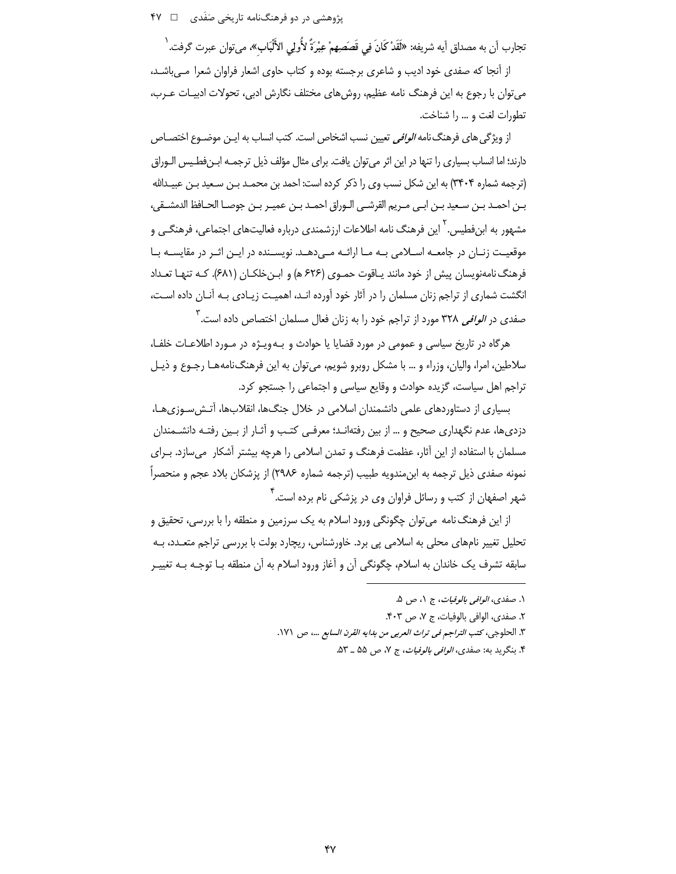یژوهشی در دو فرهنگنامه تاریخی صَفَدی ۔ □ ۴۷

تجارب آن به مصداق آيه شريفه: «لَقَدْ كَانَ فِي قَصَصِهِمْ عِبْرَةٌ لأُولِي الأَلْبَابِ»، مي توان عبرت گرفت. <sup>(</sup>

از آنجا که صفدی خود ادیب و شاعری برجسته بوده و کتاب حاوی اشعار فراوان شعرا مـیباشـد، می توان با رجوع به این فرهنگ نامه عظیم، روش های مختلف نگارش ادبی، تحولات ادبیـات عـرب، تطورات لغت و ... را شناخت.

از ویژگی های فرهنگ نامه *الوافی* تعیین نسب اشخاص است. کتب انساب به ایـن موضـوع اختصـاص دارند؛ اما انساب بسیاری را تنها در این اثر می توان یافت. برای مثال مؤلف ذیل ترجمـه ابـنفطـیس الـوراق (ترجمه شماره ۳۴۰۴) به این شکل نسب وی را ذکر کرده است: احمد بن محمـد بـن سـعید بـن عبیـدالله بـن احمـد بـن سـعيد بـن ابـي مـريم القرشـي الـوراق احمـد بـن عميـر بـن جوصـا الحـافظ الدمشـقي، مشهور به ابن فطیس ۲٫<sup>۰ ا</sup>ین فرهنگ نامه اطلاعات ارزشمندی درباره فعالیتهای اجتماعی، فرهنگــی و موقعیت زنـان در جامعــه اســلامی بــه مــا ارائــه مــی دهــد. نویســنده در ایــن اثــر در مقایســه بــا فرهنگ نامهنویسان پیش از خود مانند یـاقوت حمـوی (۶۲۶ ه) و ابـنخلکـان (۶۸۱). کـه تنهـا تعـداد انگشت شماری از تراجم زنان مسلمان را در آثار خود آورده انـد، اهمیـت زیـادی بـه آنـان داده اسـت، صفدی در *الوافی* ۳۲۸ مورد از تراجم خود را به زنان فعال مسلمان اختصاص داده است.<sup>۳</sup>

هرگاه در تاریخ سیاسی و عمومی در مورد قضایا یا حوادث و بـهویـژه در مـورد اطلاعـات خلفـا، سلاطين، امرا، واليان، وزراء و … با مشكل روبرو شويم، مي توان به اين فرهنگ نامههـا رجـوع و ذيـل تراجم اهل سیاست، گزیده حوادث و وقایع سیاسی و اجتماعی را جستجو کرد.

بسیاری از دستاوردهای علمی دانشمندان اسلامی در خلال جنگها، انقلابها، آتـش سـوزیِهـا، دزدیها، عدم نگهداری صحیح و … از بین رفتهانـد؛ معرفـی کتـب و آثـار از بـین رفتـه دانشـمندان مسلمان با استفاده از این آثار، عظمت فرهنگ و تمدن اسلامی را هرچه بیشتر آشکار میسازد. بـرای نمونه صفدی ذیل ترجمه به ابن مندویه طبیب (ترجمه شماره ۲۹۸۶) از پزشکان بلاد عجم و منحصراً شهر اصفهان از کتب و رسائل فراوان وی در پزشکی نام برده است. آ

از این فرهنگ نامه می توان چگونگی ورود اسلام به یک سرزمین و منطقه را با بررسی، تحقیق و تحلیل تغییر نامهای محلی به اسلامی پی برد. خاورشناس، ریچارد بولت با بررسی تراجم متعـدد، بـه سابقه تشرف یک خاندان به اسلام، چگونگی آن و آغاز ورود اسلام به آن منطقه بـا توجـه بـه تغییـر

- ٣. الحلوجي، كتب التراجم في تراث العربي من بدايه القرن السابع ...، ص ١٧١.
	- ۴. بنگريد به: صفدي، *الوافي بالوفيات*، ج ۷، ص ۵۵ \_ ۵۳.

۱. صفدي، *الوافي بالوفيات*، ج ۱، ص ۵.

٢. صفدي، الوافي بالوفيات، ج ٧، ص ۴٠٣.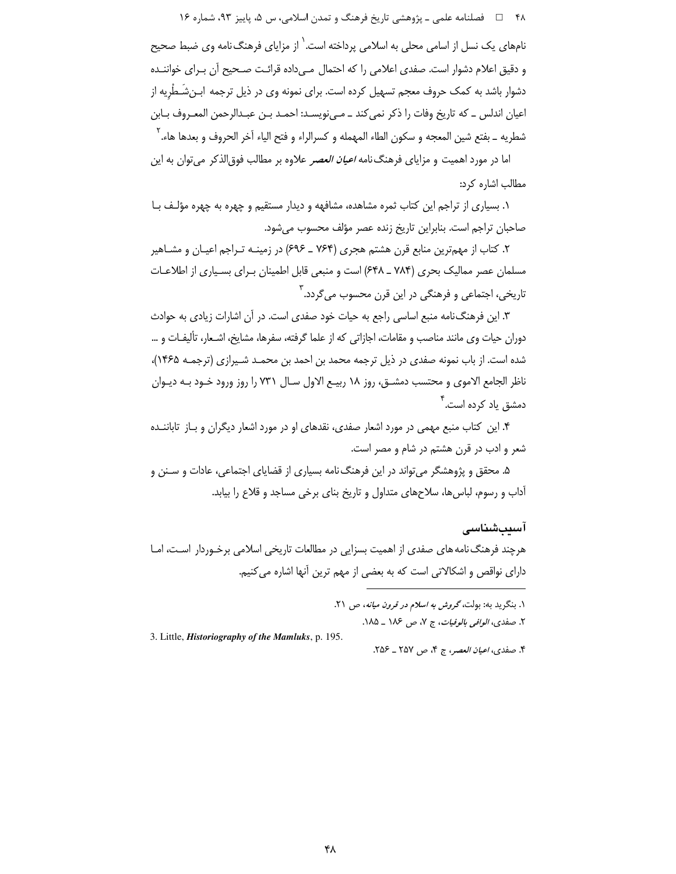۴۸ فصلنامه علمي ـ پژوهشي تاريخ فرهنگ و تمدن اسلامي، س ۵، پاييز ۹۳، شماره ۱۶

نامهای یک نسل از اسامی محلی به اسلامی پرداخته است.<sup>٬</sup> از مزایای فرهنگ نامه وی ضبط صحیح و دقیق اعلام دشوار است. صفدی اعلامی را که احتمال مے داده قرائت صـحیح آن بـرای خواننــده دشوار باشد به کمک حروف معجم تسهیل کرده است. برای نمونه وی در ذیل ترجمه ابـن٬شَـطْریه از اعيان اندلس \_ كه تاريخ وفات را ذكر نمي كند \_ مـي نويسـد: احمـد بـن عبـدالرحمن المعـروف بـابن شطريه \_ بفتع شين المعجه و سكون الطاء المهمله و كسرالراء و فتح الياء آخر الحروف و بعدها هاء.<sup>٢</sup> اما در مورد اهمیت و مزایای فرهنگ نامه *اعیان العصر* علاوه بر مطالب فوق|لذکر می توان به این

مطالب اشاره کرد:

۱. بسیاری از تراجم این کتاب ثمره مشاهده، مشافهه و دیدار مستقیم و چهره به چهره مؤلـف بـا صاحبان تراجم است. بنابراین تاریخ زنده عصر مؤلف محسوب می شود.

۲. کتاب از مهمترین منابع قرن هشتم هجری (۷۶۴ ـ ۶۹۶) در زمینـه تـراجم اعیـان و مشـاهیر مسلمان عصر ممالیک بحری (۷۸۴ ـ ۶۴۸) است و منبعی قابل اطمینان بـرای بسـیاری از اطلاعـات تاریخی، اجتماعی و فرهنگی در این قرن محسوب می گردد. <sup>۳</sup>

۳. این فرهنگ نامه منبع اساسی راجع به حیات خود صفدی است. در آن اشارات زیادی به حوادث دوران حیات وی مانند مناصب و مقامات، اجازاتی که از علما گرفته، سفرها، مشایخ، اشـعار، تألیفـات و … شده است. از باب نمونه صفدی در ذیل ترجمه محمد بن احمد بن محمـد شـیرازی (ترجمـه ۱۴۶۵)، ناظر الجامع الاموی و محتسب دمشـق، روز ۱۸ ربیـع الاول سـال ۷۳۱ را روز ورود خـود بـه دیـوان دمشق یاد کرده است.<sup>۴</sup>

۴. این کتاب منبع مهمی در مورد اشعار صفدی، نقدهای او در مورد اشعار دیگران و بـاز تاباننــده شعر و ادب در قرن هشتم در شام و مصر است.

۵. محقق و پژوهشگر می تواند در این فرهنگ نامه بسیاری از قضایای اجتماعی، عادات و سـنن و آداب و رسوم، لباس ها، سلاحهای متداول و تاریخ بنای برخی مساجد و قلاع را بیابد.

#### آسىتشناسى

هرچند فرهنگ نامه های صفدی از اهمیت بسزایی در مطالعات تاریخی اسلامی برخـوردار اسـت، امـا دارای نواقص و اشکالاتی است که به بعضی از مهم ترین آنها اشاره میکنیم.

3. Little, Historiography of the Mamluks, p. 195.

۴. صفدي، اعيان العصر، ج ۴، ص ٢٥٧ ـ ٢٥۶.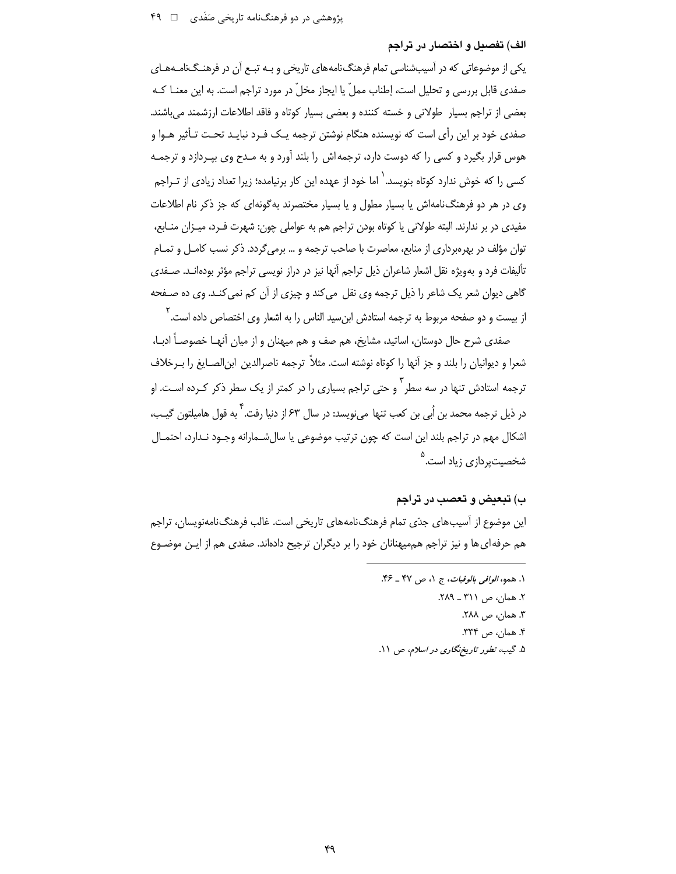#### الف) تفصيل و اختصار در تراجم

یکی از موضوعاتی که در آسیبشناسی تمام فرهنگ نامههای تاریخی و بـه تبـع آن در فرهنـگ<code>نامـههـای</code> صفدی قابل بررسی و تحلیل است، إطناب مملّ یا ایجاز مخلّ در مورد تراجم است. به این معنــا کــه بعضی از تراجم بسیار طولانی و خسته کننده و بعضی بسیار کوتاه و فاقد اطلاعات ارزشمند می باشند. صفدی خود بر این رأی است که نویسنده هنگام نوشتن ترجمه یـک فـرد نبایـد تحـت تـأثیر هـوا و هوس قرار بگیرد و کسی را که دوست دارد، ترجمهاش را بلند آورد و به مـدح وی بپـردازد و ترجمـه کسے , ,ا که خوش , ندارد کوتاه بنویسد.<sup>\</sup> اما خود از عهده این کار برنیامده؛ زیرا تعداد زیادی از تــراجم وی در هر دو فرهنگ نامهاش یا بسیار مطول و یا بسیار مختصرند به گونهای که جز ذکر نام اطلاعات مفیدی در بر ندارند. البته طولانی یا کوتاه بودن تراجم هم به عواملی چون: شهرت فـرد، میـزان منـابع، توان مؤلف در بهرهبرداری از منابع، معاصرت با صاحب ترجمه و … برمی گردد. ذکر نسب کامـل و تمـام تأليفات فرد و بهويژه نقل اشعار شاعران ذيل تراجم آنها نيز در دراز نويسي تراجم مؤثر بودهانـد. صـفدي گاهی دیوان شعر یک شاعر را ذیل ترجمه وی نقل میکند و چیزی از آن کم نمیکنـد. وی ده صـفحه از بیست و دو صفحه مربوط به ترجمه استادش ابن سید الناس را به اشعار وی اختصاص داده است. <sup>۲</sup>

صفدی شرح حال دوستان، اساتید، مشایخ، هم صف و هم میهنان و از میان آنهـا خصوصـاً ادبـا، شعرا و دیوانیان را بلند و جز آنها را کوتاه نوشته است. مثلاً ترجمه ناصرالدین ابن|لصـایغ را بــرخلاف ترجمه استادش تنها در سه سطر <sup>۳</sup> و حتی تراجم بسیاری را در کمتر از یک سطر ذکر کـرده اسـت. او در ذیل ترجمه محمد بن اُبی بن کعب تنها میiویسد: در سال ۶۳ از دنیا رفت. <sup>۴</sup> به قول هامیلتون گیـب، اشکال مهم در تراجم بلند این است که چون ترتیب موضوعی یا سال شـمارانه وجـود نـدارد، احتمـال شخصیتپردازی زیاد است.<sup>۵</sup>

### ب) تيعيض و تعصب در تراجم

این موضوع از آسیبهای جدّی تمام فرهنگ نامههای تاریخی است. غالب فرهنگ نامهنویسان، تراجم هم حرفه|ی ها و نیز تراجم هممیهنانان خود را بر دیگران ترجیح دادهاند. صفدی هم از ایـن موضـوع

> ١. همو، *الوافى بالوفيات*، ج ١، ص ۴۷ ـ ۴۶. ٢. همان، ص ٣١١ \_ ٢٨٩. ٣. همان، ص ٢٨٨. ۴. همان، ص ۳۳۴. ۵. گیب، تطور تاریخ نگاری در اسلام، ص ۱۱.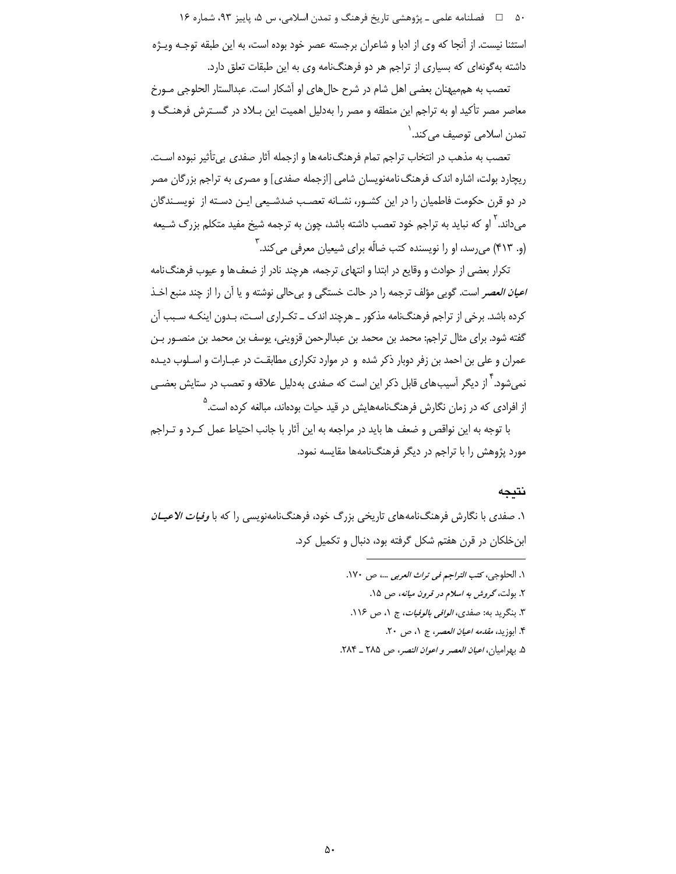۵۰ هـ = فصلنامه علمي ـ پژوهشي تاريخ فرهنگ و تمدن اسلامي، س ۵، پاييز ۹۳، شماره ۱۶ استثنا نیست. از آنجا که وی از ادبا و شاعران برجسته عصر خود بوده است، به این طبقه توجـه ویـژه داشته بهگونهای که بسیاری از تراجم هر دو فرهنگنامه وی به این طبقات تعلق دارد.

تعصب به هم میهنان بعضی اهل شام در شرح حال های او آشکار است. عبدالستار الحلوجی مـورخ معاصر مصر تأکید او به تراجم این منطقه و مصر را بهدلیل اهمیت این بـلاد در گسـترش فرهنـگ و ِ تمدن اسلامی توصیف م*ی ک*ند. <sup>۱</sup>

تعصب به مذهب در انتخاب تراجم تمام فرهنگiامهها و ازجمله آثار صفدي بي تأثير نبوده است. ریچارد بولت، اشاره اندک فرهنگ نامهنویسان شامی [ازجمله صفدی] و مصری به تراجم بزرگان مصر در دو قرن حکومت فاطمیان را در این کشـور، نشـانه تعصـب ضدشـیعی ایـن دسـته از نویسـندگان میداند. ٰ او که نباید به تراجم خود تعصب داشته باشد، چون به ترجمه شیخ مفید متکلم بزرگ شـیعه (و. ۴۱۳) میرسد، او را نویسنده کتب ضالّه برای شیعیان معرفی میکند. ۳

تكرار بعضي از حوادث و وقايع در ابتدا و انتهاى ترجمه، هرچند نادر از ضعف ها و عيوب فرهنگ نامه *اعيان العصر* است. گويي مؤلف ترجمه را در حالت خستگي و بيحالي نوشته و يا آن را از چند منبع اخـذ کرده باشد. برخی از تراجم فرهنگ نامه مذکور \_ هرچند اندک \_ تک راری اسـت، بـدون اینکـه سـبب آن گفته شود. برای مثال تراجم: محمد بن محمد بن عبدالرحمن قزوینی، یوسف بن محمد بن منصـور بـن عمران و علی بن احمد بن زفر دوبار ذکر شده و در موارد تکراری مطابقت در عبـارات و اسـلوب دیـده نمیشود.<sup>۴</sup> از دیگر آسیبهای قابل ذکر این است که صفدی بهدلیل علاقه و تعصب در ستایش بعضـی از افرادی که در زمان نگارش فرهنگنامههایش در قید حیات بودهاند، مبالغه کرده است.<sup>۵</sup>

با توجه به این نواقص و ضعف ها باید در مراجعه به این آثار با جانب احتیاط عمل کـرد و تـراجم مورد پژوهش را با تراجم در دیگر فرهنگنامهها مقایسه نمود.

# نتبجه

۱. صفدی با نگارش فرهنگنامههای تاریخی بزرگ خود، فرهنگنامهنویسی را که با *وفیات الاعیــان* ابن خلکان در قرن هفتم شکل گرفته بود، دنبال و تکمیل کرد.

- ١. الحلوجي، كتب *التراجم في تراث العربي* ...، ص ١٧٠.
	- ۲. بولت، گر*وش به اسلام در قرون میانه*، ص ۱۵.
- ٣. بنگريد به: صفدي، *الوافي بالوفيات*، ج ١، ص ١١۶.
	- ۴. ابوزيد، *مقدمه اعيان العصر*، ج ١، ص ٢٠.
- ۵. بهراميان، اعي*ان العصر و اعوان النصر، ص ٢٨*٥ ـ ٢٨۴.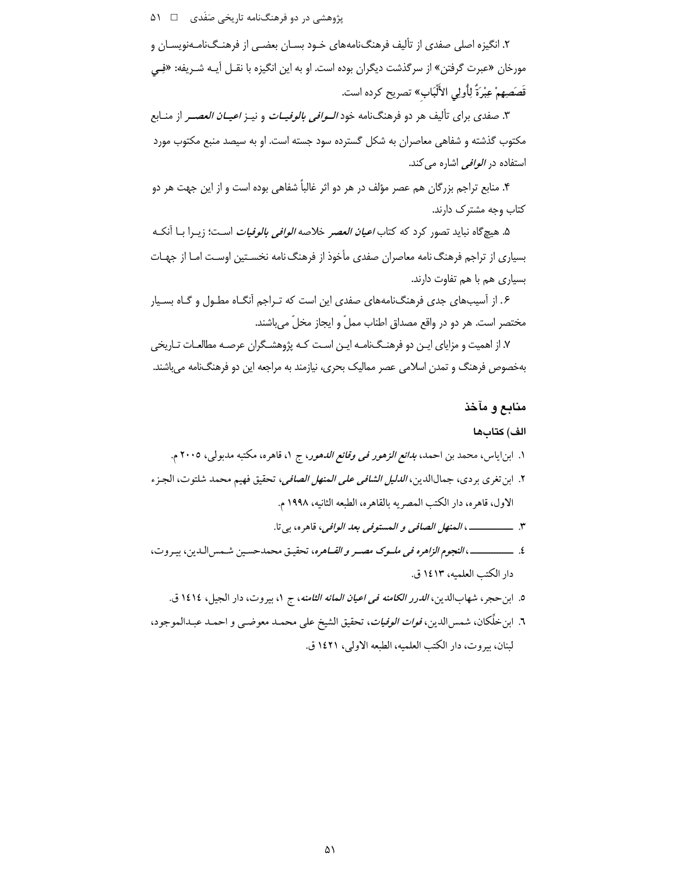پژوهشی در دو فرهنگنامه تاریخی صَفَدی ۔ □ ۵۱

۲. انگیزه اصلی صفدی از تألیف فرهنگنامههای خـود بسـان بعضـی از فرهنـگiامـهنویسـان و مورخان «عبرت گرفتن» از سرگذشت دیگران بوده است. او به این انگیزه با نقـل آیـه شـریفه: «فِـی قَصَصِهِمْ عِبْرَةً لِأُولِي الأَلْبَابِ» تصريح كرده است.

۳. صفدی برای تألیف هر دو فرهنگنامه خود *الـوافی بالوفیــات* و نیــز *اعیــان العصــر* از منــابع مکتوب گذشته و شفاهی معاصران به شکل گسترده سود جسته است. او به سیصد منبع مکتوب مورد استفاده در *الوافی* اشاره می کند.

۴. منابع تراجم بزرگان هم عصر مؤلف در هر دو اثر غالباً شفاهی بوده است و از این جهت هر دو کتاب وجه مشترک دارند.

۵. هیچگاه نباید تصور کرد که کتاب *اعیان العصر خلاصه الوافی بالوفیات* اسـت؛ زیــرا بــا آنکــه بسیاری از تراجم فرهنگ نامه معاصران صفدی مأخوذ از فرهنگ نامه نخسـتین اوسـت امـا از جهـات بسیاری هم با هم تفاوت دارند.

۰۶. از آسیبهای جدی فرهنگنامههای صفدی این است که تـراجم آنگـاه مطـول و گـاه بسـیار مختصر است. هر دو در واقع مصداق اطناب مملّ و ایجاز مخلّ می باشند.

۷. از اهمیت و مزایای ایـن دو فرهنـگـنامـه ایـن اسـت کـه پژوهشـگران عرصـه مطالعـات تـاریخی بهخصوص فرهنگ و تمدن اسلامی عصر ممالیک بحری، نیازمند به مراجعه این دو فرهنگنامه می باشند.

# منابع و مآخذ

## الف) كتابها

- ٤. \_\_\_\_\_\_\_\_\_\_، النجوم الزاهره في ملسوك مصسر و القساهره، تحقيق محمدحسين شـمس الـدين، بيـروت، دار الكتب العلميه، ١٤١٣ ق.
	- ٥. ابن حجر، شهابالدين، *الدرر الكامنه في اعيان المائه الثامنه*، ج ١، بيروت، دار الجيل، ١٤١٤ ق.
- ٦. ابن خلِّكان، شمس|لدين، *فوات الوفيات*، تحقيق الشيخ على محمـد معوضـي و احمـد عبـدالموجود، لبنان، بيروت، دار الكتب العلميه، الطبعه الاولى، ١٤٢١ ق.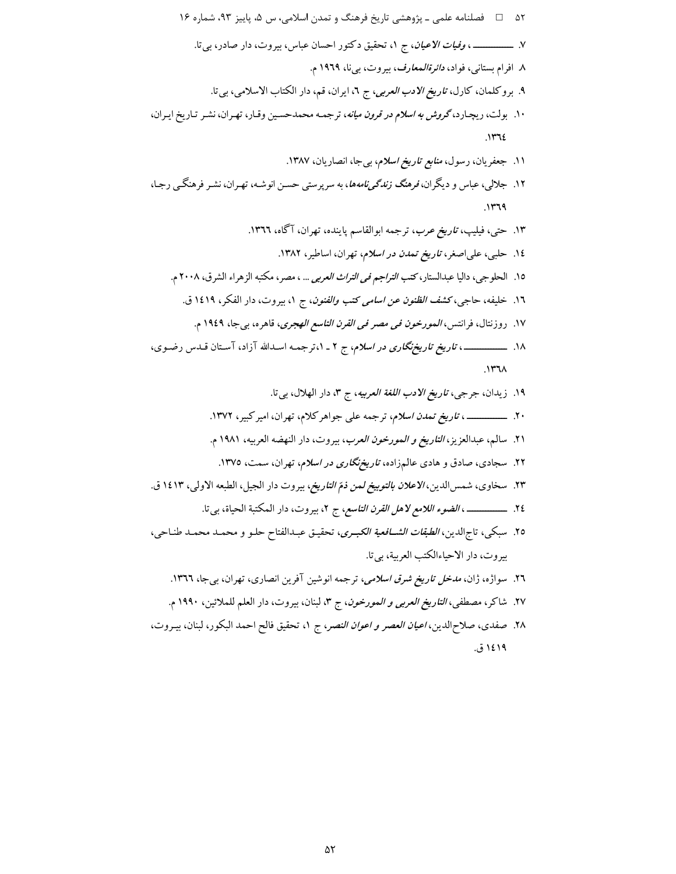۲۸. صفدی، صلاحالدین، *اعیان العصر و اعوان النصر*، ج ۱، تحقیق فالح احمد البکور، لبنان، بیـروت، ۱٤۱۹ ق.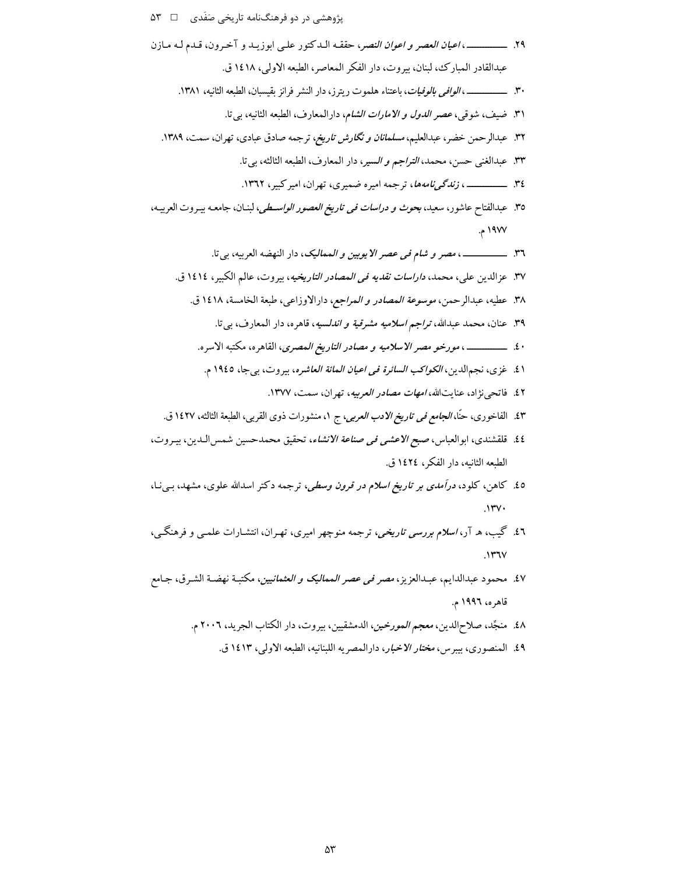- ٣٠. ـــــــــــــــــــــــــ ، *الوافي بالوفيات*، باعتناء هلموت ريترز، دار النشر فرانز بقيسبان، الطبعه الثانيه، ١٣٨١.
	- ٣١. ضيف، شوقي، *عصر الدول و الامارات الشام*، دارالمعارف، الطبعه الثانيه، بي تا.
- ۳۲. عبدالرحمن خضر، عبدالعلیم، *مسلمانان و نگارش تاریخ، ت*رجمه صادق عبادی، تهران، سمت، ۱۳۸۹.
	- ٣٣. عبدالغني حسن، محمد، *التراجم و السير*، دار المعارف، الطبعه الثالثه، بي تا.
	-
- ٣٥. عبدالفتاح عاشور، سعيد، بحوث *و دراسات في تاريخ العصور الواسـطي*، لبنـان، جامعـه بيـروت العربيـه، ۱۹۷۷ م.
	- ٣٦. ـــــــــــــــــــــــ ، مصر و شام في عصر الايوبين و المماليک، دار النهضه العربيه، بي تا. ٣٧. عزالدين علي، محمد، *داراسات نقديه في المصادر التاريخيه*، بيروت، عالم الكبير، ١٤١٤ ق. ٣٨. عطيه، عبدالرحمن، *موسوعة المصادر و المراجع،* دارالاوزاعي، طبعة الخامسة، ١٤١٨ ق. ٣٩. عنان، محمد عبدالله، تر*اجم اسلاميه مشرقية و اندل*سيه، قاهره، دار المعارف، بي تا. ۰٤. ــــــــــــــــــ ، مورخو مصر *الاسلاميه و مصادر التاريخ المصرى*، القاهره، مكتبه الاسره. ١٤. غزى، نجمالدين، *الكواكب السائرة في اعيان المائة العاشره*، بيروت، بي جا، ١٩٤٥ م. ٤٢. فاتحي نژاد، عنايتالله، *امهات مصادر العربيه*، تهران، سمت، ١٣٧٧. ٤٣. الفاخوري، حنًّا، *الجامع في تاريخ الادب العربي*، ج ١، منشورات ذوى القربي، الطبعة الثالثه، ١٤٢٧ ق.
- ٤٤. قلقشندي، ابوالعباس، صبح *الاعشى في صناعة الانشاء*، تحقيق محمدحسين شمس الـدين، بيـروت، الطبعه الثانيه، دار الفكر، ١٤٢٤ ق.
- ٤٥. کاهن، کلود، *درآمدی بر تاریخ اسلام در قرون وسطی*، ترجمه دکتر اسدالله علوی، مشهد، بـیiـا،  $N$
- ٤٦. گیب، ه آر، *اسلام بررسی تاریخی*، ترجمه منوچهر امیری، تهـران، انتشـارات علمــی و فرهنگــی،  $\mathcal{N}$
- ٤٧. محمود عبدالدايم، عبدالعزيز، *مصر في عصر المماليک و العثمانيين*، مكتبـة نهضـة الشـرق، جـامع قاهره، ۱۹۹۲ م.
	- ٤٨. منجَّد، صلاحالدين، *معجم المورخين*، الدمشقيين، بيروت، دار الكتاب الجريد، ٢٠٠٦ م.
		- ٤٩. المنصوري، بيبرس، مختار الاخبار، دارالمصريه اللبنانيه، الطبعه الاولي، ١٤١٣ ق.